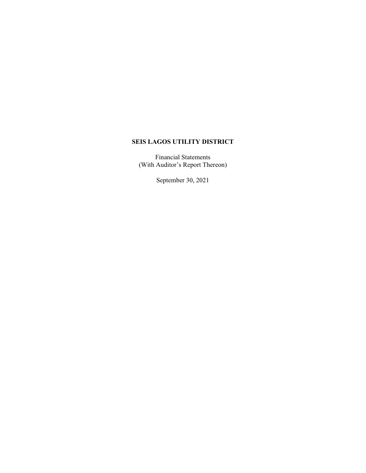Financial Statements (With Auditor's Report Thereon)

September 30, 2021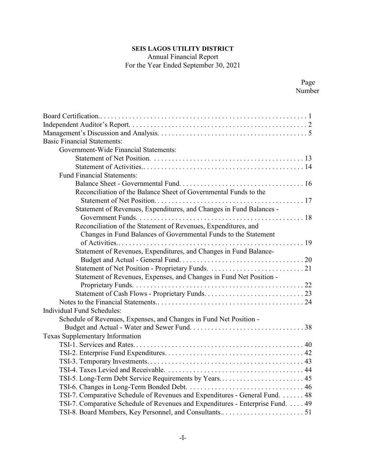Annual Financial Report

## For the Year Ended September 30, 2021

| <b>Basic Financial Statements:</b>                                             |
|--------------------------------------------------------------------------------|
| Government-Wide Financial Statements:                                          |
|                                                                                |
|                                                                                |
| <b>Fund Financial Statements:</b>                                              |
|                                                                                |
| Reconciliation of the Balance Sheet of Governmental Funds to the               |
|                                                                                |
| Statement of Revenues, Expenditures, and Changes in Fund Balances -            |
|                                                                                |
| Reconciliation of the Statement of Revenues, Expenditures, and                 |
| Changes in Fund Balances of Governmental Funds to the Statement                |
|                                                                                |
| Statement of Revenues, Expenditures, and Changes in Fund Balance-              |
|                                                                                |
|                                                                                |
| Statement of Revenues, Expenses, and Changes in Fund Net Position -            |
|                                                                                |
|                                                                                |
|                                                                                |
| Individual Fund Schedules:                                                     |
| Schedule of Revenues, Expenses, and Changes in Fund Net Position -             |
|                                                                                |
| <b>Texas Supplementary Information</b>                                         |
|                                                                                |
|                                                                                |
|                                                                                |
|                                                                                |
|                                                                                |
|                                                                                |
| TSI-7. Comparative Schedule of Revenues and Expenditures - General Fund. 48    |
| TSI-7. Comparative Schedule of Revenues and Expenditures - Enterprise Fund. 49 |
|                                                                                |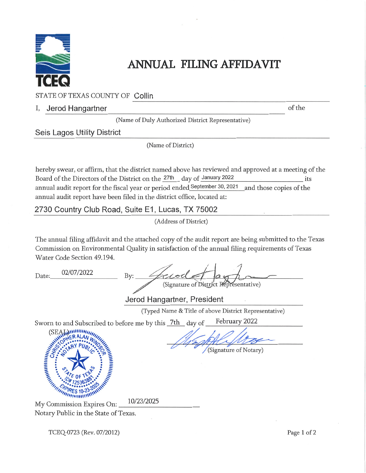

# **ANNUAL FILING AFFIDAVIT**

## STATE OF TEXAS COUNTY OF Collin

I, Jerod Hangartner

of the

(Name of Duly Authorized District Representative)

## Seis Lagos Utility District

(Name of District)

hereby swear, or affirm, that the district named above has reviewed and approved at a meeting of the Board of the Directors of the District on the 27th day of January 2022 its annual audit report for the fiscal year or period ended September 30, 2021 and those copies of the annual audit report have been filed in the district office, located at:

2730 Country Club Road, Suite E1, Lucas, TX 75002

(Address of District)

The annual filing affidavit and the attached copy of the audit report are being submitted to the Texas Commission on Environmental Quality in satisfaction of the annual filing requirements of Texas Water Code Section 49.194.

02/07/2022 Date: By: (Signature of District Representative)

Jerod Hangartner, President

(Typed Name & Title of above District Representative)

February 2022 Sworn to and Subscribed to before me by this 7th day of



(Signature of Notary)

10/23/2025 My Commission Expires On: Notary Public in the State of Texas.

TCEQ-0723 (Rev. 07/2012)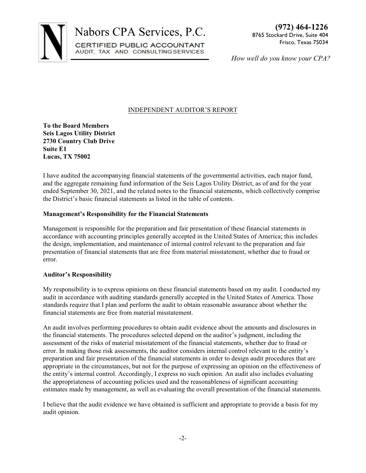

Nabors CPA Services, P.C.

CERTIFIED PUBLIC ACCOUNTANT AUDIT, TAX AND CONSULTING SERVICES

**(972) 464-1226** 8765 Stockard Drive, Suite 404 Frisco, Texas 75034

*How well do you know your CPA?*

## INDEPENDENT AUDITOR'S REPORT

**To the Board Members Seis Lagos Utility District 2730 Country Club Drive Suite E1 Lucas, TX 75002**

I have audited the accompanying financial statements of the governmental activities, each major fund, and the aggregate remaining fund information of the Seis Lagos Utility District, as of and for the year ended September 30, 2021, and the related notes to the financial statements, which collectively comprise the District's basic financial statements as listed in the table of contents.

#### **Management's Responsibility for the Financial Statements**

Management is responsible for the preparation and fair presentation of these financial statements in accordance with accounting principles generally accepted in the United States of America; this includes the design, implementation, and maintenance of internal control relevant to the preparation and fair presentation of financial statements that are free from material misstatement, whether due to fraud or error.

#### **Auditor's Responsibility**

My responsibility is to express opinions on these financial statements based on my audit. I conducted my audit in accordance with auditing standards generally accepted in the United States of America. Those standards require that I plan and perform the audit to obtain reasonable assurance about whether the financial statements are free from material misstatement.

An audit involves performing procedures to obtain audit evidence about the amounts and disclosures in the financial statements. The procedures selected depend on the auditor's judgment, including the assessment of the risks of material misstatement of the financial statements, whether due to fraud or error. In making those risk assessments, the auditor considers internal control relevant to the entity's preparation and fair presentation of the financial statements in order to design audit procedures that are appropriate in the circumstances, but not for the purpose of expressing an opinion on the effectiveness of the entity's internal control. Accordingly, I express no such opinion. An audit also includes evaluating the appropriateness of accounting policies used and the reasonableness of significant accounting estimates made by management, as well as evaluating the overall presentation of the financial statements.

I believe that the audit evidence we have obtained is sufficient and appropriate to provide a basis for my audit opinion.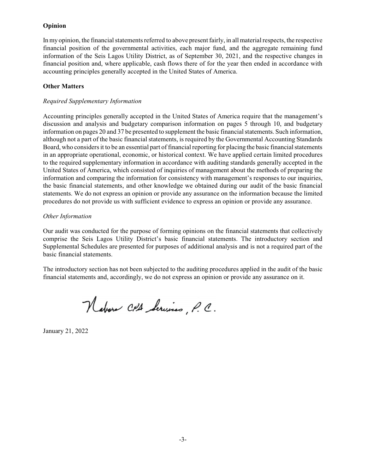#### **Opinion**

In my opinion, the financial statements referred to above present fairly, in all material respects, the respective financial position of the governmental activities, each major fund, and the aggregate remaining fund information of the Seis Lagos Utility District, as of September 30, 2021, and the respective changes in financial position and, where applicable, cash flows there of for the year then ended in accordance with accounting principles generally accepted in the United States of America.

#### **Other Matters**

#### *Required Supplementary Information*

Accounting principles generally accepted in the United States of America require that the management's discussion and analysis and budgetary comparison information on pages 5 through 10, and budgetary information on pages 20 and 37 be presented to supplement the basic financial statements. Such information, although not a part of the basic financial statements, is required by the Governmental Accounting Standards Board, who considers it to be an essential part of financial reporting for placing the basic financial statements in an appropriate operational, economic, or historical context. We have applied certain limited procedures to the required supplementary information in accordance with auditing standards generally accepted in the United States of America, which consisted of inquiries of management about the methods of preparing the information and comparing the information for consistency with management's responses to our inquiries, the basic financial statements, and other knowledge we obtained during our audit of the basic financial statements. We do not express an opinion or provide any assurance on the information because the limited procedures do not provide us with sufficient evidence to express an opinion or provide any assurance.

#### *Other Information*

Our audit was conducted for the purpose of forming opinions on the financial statements that collectively comprise the Seis Lagos Utility District's basic financial statements. The introductory section and Supplemental Schedules are presented for purposes of additional analysis and is not a required part of the basic financial statements.

The introductory section has not been subjected to the auditing procedures applied in the audit of the basic financial statements and, accordingly, we do not express an opinion or provide any assurance on it.

Nabora CPA Services, P. C.

January 21, 2022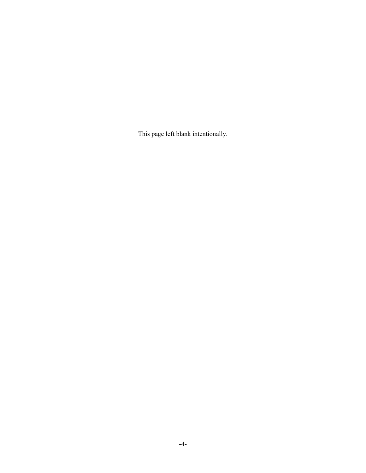This page left blank intentionally.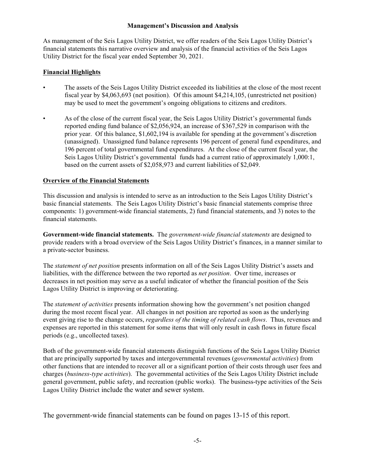#### **Management's Discussion and Analysis**

As management of the Seis Lagos Utility District, we offer readers of the Seis Lagos Utility District's financial statements this narrative overview and analysis of the financial activities of the Seis Lagos Utility District for the fiscal year ended September 30, 2021.

#### **Financial Highlights**

- The assets of the Seis Lagos Utility District exceeded its liabilities at the close of the most recent fiscal year by \$4,063,693 (net position). Of this amount \$4,214,105, (unrestricted net position) may be used to meet the government's ongoing obligations to citizens and creditors.
- As of the close of the current fiscal year, the Seis Lagos Utility District's governmental funds reported ending fund balance of \$2,056,924, an increase of \$367,529 in comparison with the prior year. Of this balance, \$1,602,194 is available for spending at the government's discretion (unassigned). Unassigned fund balance represents 196 percent of general fund expenditures, and 196 percent of total governmental fund expenditures. At the close of the current fiscal year, the Seis Lagos Utility District's governmental funds had a current ratio of approximately 1,000:1, based on the current assets of \$2,058,973 and current liabilities of \$2,049.

#### **Overview of the Financial Statements**

This discussion and analysis is intended to serve as an introduction to the Seis Lagos Utility District's basic financial statements. The Seis Lagos Utility District's basic financial statements comprise three components: 1) government-wide financial statements, 2) fund financial statements, and 3) notes to the financial statements.

**Government-wide financial statements.** The *government-wide financial statements* are designed to provide readers with a broad overview of the Seis Lagos Utility District's finances, in a manner similar to a private-sector business.

The *statement of net position* presents information on all of the Seis Lagos Utility District's assets and liabilities, with the difference between the two reported as *net position*. Over time, increases or decreases in net position may serve as a useful indicator of whether the financial position of the Seis Lagos Utility District is improving or deteriorating.

The *statement of activities* presents information showing how the government's net position changed during the most recent fiscal year. All changes in net position are reported as soon as the underlying event giving rise to the change occurs, *regardless of the timing of related cash flows*. Thus, revenues and expenses are reported in this statement for some items that will only result in cash flows in future fiscal periods (e.g., uncollected taxes).

Both of the government-wide financial statements distinguish functions of the Seis Lagos Utility District that are principally supported by taxes and intergovernmental revenues (*governmental activities*) from other functions that are intended to recover all or a significant portion of their costs through user fees and charges (*business-type activities*). The governmental activities of the Seis Lagos Utility District include general government, public safety, and recreation (public works). The business-type activities of the Seis Lagos Utility District include the water and sewer system.

The government-wide financial statements can be found on pages 13-15 of this report.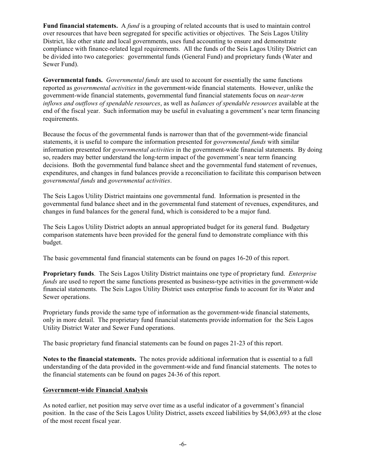**Fund financial statements.** A *fund* is a grouping of related accounts that is used to maintain control over resources that have been segregated for specific activities or objectives. The Seis Lagos Utility District, like other state and local governments, uses fund accounting to ensure and demonstrate compliance with finance-related legal requirements. All the funds of the Seis Lagos Utility District can be divided into two categories: governmental funds (General Fund) and proprietary funds (Water and Sewer Fund).

**Governmental funds.** *Governmental funds* are used to account for essentially the same functions reported as *governmental activities* in the government-wide financial statements. However, unlike the government-wide financial statements, governmental fund financial statements focus on *near-term inflows and outflows of spendable resources*, as well as *balances of spendable resources* available at the end of the fiscal year. Such information may be useful in evaluating a government's near term financing requirements.

Because the focus of the governmental funds is narrower than that of the government-wide financial statements, it is useful to compare the information presented for *governmental funds* with similar information presented for *governmental activities* in the government-wide financial statements. By doing so, readers may better understand the long-term impact of the government's near term financing decisions. Both the governmental fund balance sheet and the governmental fund statement of revenues, expenditures, and changes in fund balances provide a reconciliation to facilitate this comparison between *governmental funds* and *governmental activities*.

The Seis Lagos Utility District maintains one governmental fund. Information is presented in the governmental fund balance sheet and in the governmental fund statement of revenues, expenditures, and changes in fund balances for the general fund, which is considered to be a major fund.

The Seis Lagos Utility District adopts an annual appropriated budget for its general fund. Budgetary comparison statements have been provided for the general fund to demonstrate compliance with this budget.

The basic governmental fund financial statements can be found on pages 16-20 of this report.

**Proprietary funds**. The Seis Lagos Utility District maintains one type of proprietary fund. *Enterprise funds* are used to report the same functions presented as business-type activities in the government-wide financial statements. The Seis Lagos Utility District uses enterprise funds to account for its Water and Sewer operations.

Proprietary funds provide the same type of information as the government-wide financial statements, only in more detail. The proprietary fund financial statements provide information for the Seis Lagos Utility District Water and Sewer Fund operations.

The basic proprietary fund financial statements can be found on pages 21-23 of this report.

**Notes to the financial statements.** The notes provide additional information that is essential to a full understanding of the data provided in the government-wide and fund financial statements. The notes to the financial statements can be found on pages 24-36 of this report.

#### **Government-wide Financial Analysis**

As noted earlier, net position may serve over time as a useful indicator of a government's financial position. In the case of the Seis Lagos Utility District, assets exceed liabilities by \$4,063,693 at the close of the most recent fiscal year.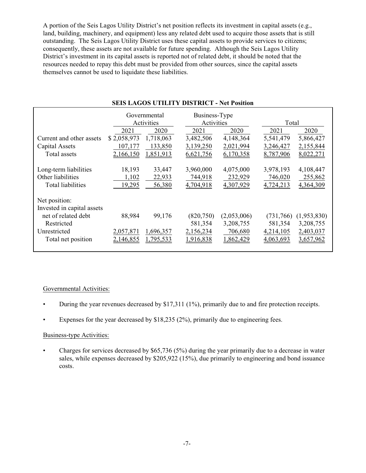A portion of the Seis Lagos Utility District's net position reflects its investment in capital assets (e.g., land, building, machinery, and equipment) less any related debt used to acquire those assets that is still outstanding. The Seis Lagos Utility District uses these capital assets to provide services to citizens; consequently, these assets are not available for future spending. Although the Seis Lagos Utility District's investment in its capital assets is reported not of related debt, it should be noted that the resources needed to repay this debt must be provided from other sources, since the capital assets themselves cannot be used to liquidate these liabilities.

|                            |             | Governmental<br>Activities | Business-Type<br>Activities |             | Total     |             |
|----------------------------|-------------|----------------------------|-----------------------------|-------------|-----------|-------------|
|                            |             |                            |                             |             |           |             |
|                            | 2021        | 2020                       | 2021                        | 2020        | 2021      | 2020        |
| Current and other assets   | \$2,058,973 | 1,718,063                  | 3,482,506                   | 4,148,364   | 5,541,479 | 5,866,427   |
| Capital Assets             | 107,177     | 133,850                    | 3,139,250                   | 2,021,994   | 3,246,427 | 2,155,844   |
| Total assets               | 2,166,150   | 1,851,913                  | 6,621,756                   | 6,170,358   | 8,787,906 | 8,022,271   |
| Long-term liabilities      | 18,193      | 33,447                     | 3,960,000                   | 4,075,000   | 3,978,193 | 4,108,447   |
| Other liabilities          | 1,102       | 22,933                     | 744,918                     | 232,929     | 746,020   | 255,862     |
| <b>Total liabilities</b>   | 19,295      | 56,380                     | 4,704,918                   | 4,307,929   | 4,724,213 | 4,364,309   |
| Net position:              |             |                            |                             |             |           |             |
| Invested in capital assets |             |                            |                             |             |           |             |
| net of related debt        | 88,984      | 99,176                     | (820,750)                   | (2,053,006) | (731,766) | (1,953,830) |
| Restricted                 |             |                            | 581,354                     | 3,208,755   | 581,354   | 3,208,755   |
| Unrestricted               | 2,057,871   | 1,696,357                  | 2,156,234                   | 706,680     | 4,214,105 | 2,403,037   |
| Total net position         | 2,146,855   | 1,795,533                  | 1,916,838                   | 1,862,429   | 4,063,693 | 3,657,962   |
|                            |             |                            |                             |             |           |             |

#### **SEIS LAGOS UTILITY DISTRICT - Net Position**

#### Governmental Activities:

- During the year revenues decreased by \$17,311 (1%), primarily due to and fire protection receipts.
- Expenses for the year decreased by \$18,235 (2%), primarily due to engineering fees.

#### Business-type Activities:

• Charges for services decreased by \$65,736 (5%) during the year primarily due to a decrease in water sales, while expenses decreased by \$205,922 (15%), due primarily to engineering and bond issuance costs.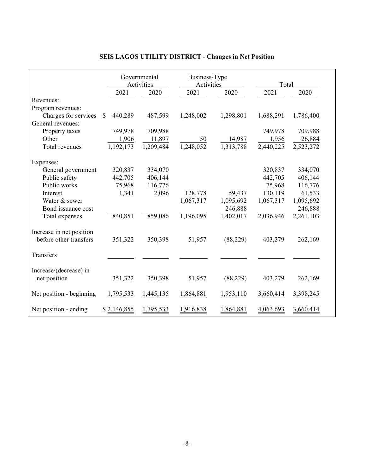|                          |                         | Governmental | Business-Type |            |           |           |
|--------------------------|-------------------------|--------------|---------------|------------|-----------|-----------|
|                          |                         | Activities   |               | Activities |           | Total     |
|                          | 2021                    | 2020         | 2021          | 2020       | 2021      | 2020      |
| Revenues:                |                         |              |               |            |           |           |
| Program revenues:        |                         |              |               |            |           |           |
| Charges for services     | 440,289<br>$\mathbb{S}$ | 487,599      | 1,248,002     | 1,298,801  | 1,688,291 | 1,786,400 |
| General revenues:        |                         |              |               |            |           |           |
| Property taxes           | 749,978                 | 709,988      |               |            | 749,978   | 709,988   |
| Other                    | 1,906                   | 11,897       | 50            | 14,987     | 1,956     | 26,884    |
| Total revenues           | 1,192,173               | 1,209,484    | 1.248.052     | 1,313,788  | 2,440,225 | 2,523,272 |
|                          |                         |              |               |            |           |           |
| Expenses:                |                         |              |               |            |           |           |
| General government       | 320,837                 | 334,070      |               |            | 320,837   | 334,070   |
| Public safety            | 442,705                 | 406,144      |               |            | 442,705   | 406,144   |
| Public works             | 75,968                  | 116,776      |               |            | 75,968    | 116,776   |
| Interest                 | 1,341                   | 2,096        | 128,778       | 59,437     | 130,119   | 61,533    |
| Water & sewer            |                         |              | 1,067,317     | 1,095,692  | 1,067,317 | 1,095,692 |
| Bond issuance cost       |                         |              |               | 246,888    |           | 246,888   |
| Total expenses           | 840,851                 | 859,086      | 1,196,095     | 1,402,017  | 2,036,946 | 2,261,103 |
|                          |                         |              |               |            |           |           |
| Increase in net position |                         |              |               |            |           |           |
| before other transfers   | 351,322                 | 350,398      | 51,957        | (88, 229)  | 403,279   | 262,169   |
|                          |                         |              |               |            |           |           |
| Transfers                |                         |              |               |            |           |           |
|                          |                         |              |               |            |           |           |
| Increase/(decrease) in   |                         |              |               |            |           |           |
| net position             | 351,322                 | 350,398      | 51,957        | (88, 229)  | 403,279   | 262,169   |
|                          |                         |              |               |            |           |           |
|                          |                         |              |               |            |           |           |
| Net position - beginning | 1,795,533               | 1,445,135    | 1,864,881     | 1,953,110  | 3,660,414 | 3,398,245 |
| Net position - ending    |                         |              |               |            |           |           |
|                          | \$2,146,855             | 1,795,533    | 1,916,838     | 1,864,881  | 4,063,693 | 3,660,414 |

## **SEIS LAGOS UTILITY DISTRICT - Changes in Net Position**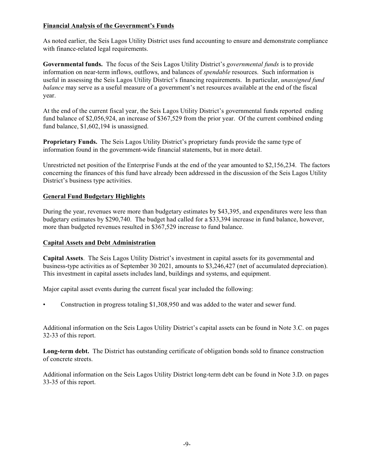#### **Financial Analysis of the Government's Funds**

As noted earlier, the Seis Lagos Utility District uses fund accounting to ensure and demonstrate compliance with finance-related legal requirements.

**Governmental funds.** The focus of the Seis Lagos Utility District's *governmental funds* is to provide information on near-term inflows, outflows, and balances of *spendable* resources. Such information is useful in assessing the Seis Lagos Utility District's financing requirements. In particular, *unassigned fund balance* may serve as a useful measure of a government's net resources available at the end of the fiscal year.

At the end of the current fiscal year, the Seis Lagos Utility District's governmental funds reported ending fund balance of \$2,056,924, an increase of \$367,529 from the prior year. Of the current combined ending fund balance, \$1,602,194 is unassigned.

**Proprietary Funds.** The Seis Lagos Utility District's proprietary funds provide the same type of information found in the government-wide financial statements, but in more detail.

Unrestricted net position of the Enterprise Funds at the end of the year amounted to \$2,156,234. The factors concerning the finances of this fund have already been addressed in the discussion of the Seis Lagos Utility District's business type activities.

#### **General Fund Budgetary Highlights**

During the year, revenues were more than budgetary estimates by \$43,395, and expenditures were less than budgetary estimates by \$290,740. The budget had called for a \$33,394 increase in fund balance, however, more than budgeted revenues resulted in \$367,529 increase to fund balance.

#### **Capital Assets and Debt Administration**

**Capital Assets**. The Seis Lagos Utility District's investment in capital assets for its governmental and business-type activities as of September 30 2021, amounts to \$3,246,427 (net of accumulated depreciation). This investment in capital assets includes land, buildings and systems, and equipment.

Major capital asset events during the current fiscal year included the following:

• Construction in progress totaling \$1,308,950 and was added to the water and sewer fund.

Additional information on the Seis Lagos Utility District's capital assets can be found in Note 3.C. on pages 32-33 of this report.

**Long-term debt.** The District has outstanding certificate of obligation bonds sold to finance construction of concrete streets.

Additional information on the Seis Lagos Utility District long-term debt can be found in Note 3.D. on pages 33-35 of this report.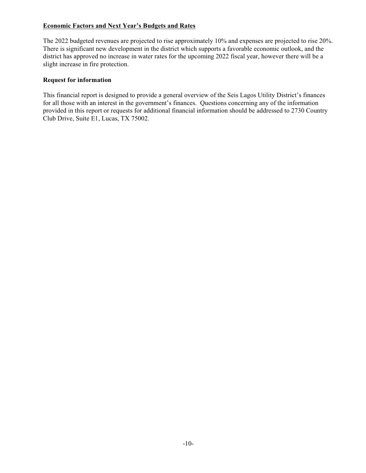#### **Economic Factors and Next Year's Budgets and Rates**

The 2022 budgeted revenues are projected to rise approximately 10% and expenses are projected to rise 20%. There is significant new development in the district which supports a favorable economic outlook, and the district has approved no increase in water rates for the upcoming 2022 fiscal year, however there will be a slight increase in fire protection.

#### **Request for information**

This financial report is designed to provide a general overview of the Seis Lagos Utility District's finances for all those with an interest in the government's finances. Questions concerning any of the information provided in this report or requests for additional financial information should be addressed to 2730 Country Club Drive, Suite E1, Lucas, TX 75002.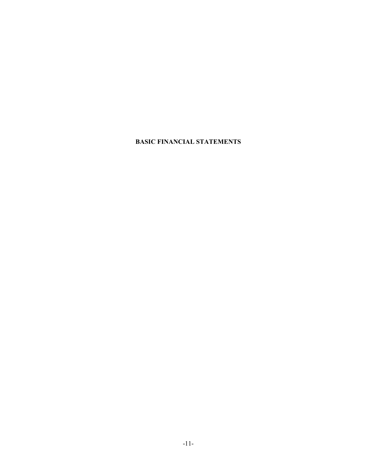## **BASIC FINANCIAL STATEMENTS**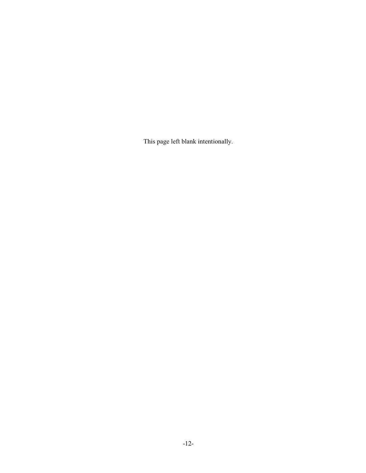This page left blank intentionally.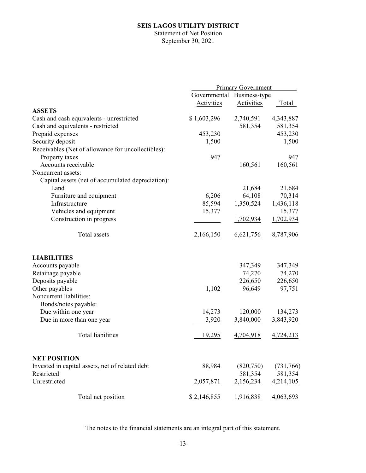## Statement of Net Position September 30, 2021

|                                                    | Primary Government |               |           |  |
|----------------------------------------------------|--------------------|---------------|-----------|--|
|                                                    | Governmental       | Business-type |           |  |
|                                                    | Activities         | Activities    | Total     |  |
| <b>ASSETS</b>                                      |                    |               |           |  |
| Cash and cash equivalents - unrestricted           | \$1,603,296        | 2,740,591     | 4,343,887 |  |
| Cash and equivalents - restricted                  |                    | 581,354       | 581,354   |  |
| Prepaid expenses                                   | 453,230            |               | 453,230   |  |
| Security deposit                                   | 1,500              |               | 1,500     |  |
| Receivables (Net of allowance for uncollectibles): |                    |               |           |  |
| Property taxes                                     | 947                |               | 947       |  |
| Accounts receivable                                |                    | 160,561       | 160,561   |  |
| Noncurrent assets:                                 |                    |               |           |  |
| Capital assets (net of accumulated depreciation):  |                    |               |           |  |
| Land                                               |                    | 21,684        | 21,684    |  |
| Furniture and equipment                            | 6,206              | 64,108        | 70,314    |  |
| Infrastructure                                     | 85,594             | 1,350,524     | 1,436,118 |  |
| Vehicles and equipment                             | 15,377             |               | 15,377    |  |
| Construction in progress                           |                    | 1,702,934     | 1,702,934 |  |
| <b>Total</b> assets                                | 2,166,150          | 6,621,756     | 8,787,906 |  |
| <b>LIABILITIES</b>                                 |                    |               |           |  |
| Accounts payable                                   |                    | 347,349       | 347,349   |  |
| Retainage payable                                  |                    | 74,270        | 74,270    |  |
| Deposits payable                                   |                    | 226,650       | 226,650   |  |
| Other payables                                     | 1,102              | 96,649        | 97,751    |  |
| Noncurrent liabilities:                            |                    |               |           |  |
| Bonds/notes payable:                               |                    |               |           |  |
| Due within one year                                | 14,273             | 120,000       | 134,273   |  |
| Due in more than one year                          | 3,920              | 3,840,000     | 3,843,920 |  |
|                                                    |                    |               |           |  |
| <b>Total liabilities</b>                           | 19,295             | 4,704,918     | 4,724,213 |  |
|                                                    |                    |               |           |  |
| <b>NET POSITION</b>                                |                    |               |           |  |
| Invested in capital assets, net of related debt    | 88,984             | (820,750)     | (731,766) |  |
| Restricted                                         |                    | 581,354       | 581,354   |  |
| Unrestricted                                       | 2,057,871          | 2,156,234     | 4,214,105 |  |
| Total net position                                 | \$2,146,855        | 1,916,838     | 4,063,693 |  |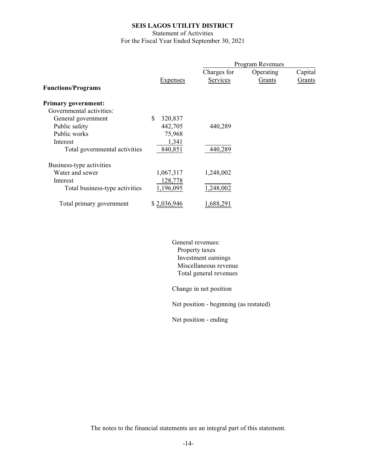#### Statement of Activities For the Fiscal Year Ended September 30, 2021

|                                |               | <b>Program Revenues</b> |           |         |  |
|--------------------------------|---------------|-------------------------|-----------|---------|--|
|                                |               | Charges for             | Operating | Capital |  |
|                                | Expenses      | Services                | Grants    | Grants  |  |
| <b>Functions/Programs</b>      |               |                         |           |         |  |
| <b>Primary government:</b>     |               |                         |           |         |  |
| Governmental activities:       |               |                         |           |         |  |
| General government             | \$<br>320,837 |                         |           |         |  |
| Public safety                  | 442,705       | 440,289                 |           |         |  |
| Public works                   | 75,968        |                         |           |         |  |
| Interest                       | 1,341         |                         |           |         |  |
| Total governmental activities  | 840,851       | 440,289                 |           |         |  |
| Business-type activities       |               |                         |           |         |  |
| Water and sewer                | 1,067,317     | 1,248,002               |           |         |  |
| Interest                       | 128,778       |                         |           |         |  |
| Total business-type activities | 1,196,095     | 1,248,002               |           |         |  |
| Total primary government       | \$2,036,946   | 1,688,291               |           |         |  |

General revenues: Property taxes Investment earnings Miscellaneous revenue Total general revenues

Change in net position

Net position - beginning (as restated)

Net position - ending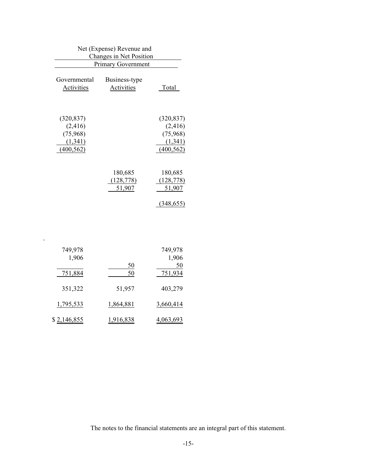| 749,978<br>1,906 |           | 749,978<br>1,906 |
|------------------|-----------|------------------|
| 50<br>751,934    | 50<br>50  | 751,884          |
| 403,279          | 51,957    | 351,322          |
| 3,660,414        | 1,864,881 | 1,795,533        |
| <u>4,063,693</u> | 1,916,838 | \$2,146,855      |

 $\hat{\mathbf{v}}$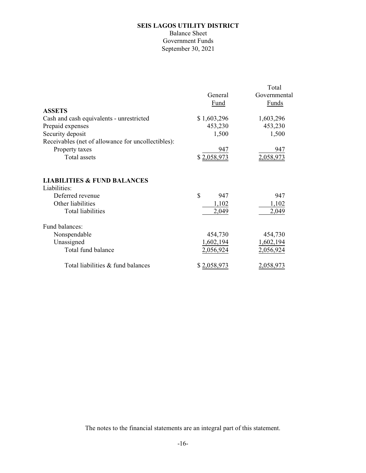### Balance Sheet Government Funds September 30, 2021

|                                                                            |             | Total        |
|----------------------------------------------------------------------------|-------------|--------------|
|                                                                            | General     | Governmental |
|                                                                            | Fund        | Funds        |
| <b>ASSETS</b>                                                              |             |              |
| Cash and cash equivalents - unrestricted                                   | \$1,603,296 | 1,603,296    |
| Prepaid expenses                                                           | 453,230     | 453,230      |
| Security deposit                                                           | 1,500       | 1,500        |
| Receivables (net of allowance for uncollectibles):                         |             |              |
| Property taxes                                                             | 947         | 947          |
| Total assets                                                               | \$2,058,973 | 2,058,973    |
| <b>LIABILITIES &amp; FUND BALANCES</b><br>Liabilities:<br>Deferred revenue | \$<br>947   | 947          |
| Other liabilities                                                          | 1,102       | 1,102        |
| <b>Total liabilities</b>                                                   | 2,049       | 2,049        |
| Fund balances:                                                             |             |              |
| Nonspendable                                                               | 454,730     | 454,730      |
| Unassigned                                                                 | 1,602,194   | 1,602,194    |
| Total fund balance                                                         | 2,056,924   | 2,056,924    |
| Total liabilities & fund balances                                          | \$2,058,973 | 2,058,973    |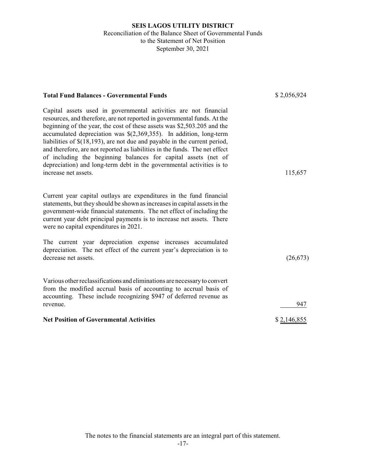## Reconciliation of the Balance Sheet of Governmental Funds to the Statement of Net Position September 30, 2021

| <b>Total Fund Balances - Governmental Funds</b>                                                                                                                                                                                                                                                                                                                                                                                                                                                                                                                                                                                   | \$2,056,924 |
|-----------------------------------------------------------------------------------------------------------------------------------------------------------------------------------------------------------------------------------------------------------------------------------------------------------------------------------------------------------------------------------------------------------------------------------------------------------------------------------------------------------------------------------------------------------------------------------------------------------------------------------|-------------|
| Capital assets used in governmental activities are not financial<br>resources, and therefore, are not reported in governmental funds. At the<br>beginning of the year, the cost of these assets was \$2,503.205 and the<br>accumulated depreciation was $\$(2,369,355)$ . In addition, long-term<br>liabilities of $$(18,193)$ , are not due and payable in the current period,<br>and therefore, are not reported as liabilities in the funds. The net effect<br>of including the beginning balances for capital assets (net of<br>depreciation) and long-term debt in the governmental activities is to<br>increase net assets. | 115,657     |
| Current year capital outlays are expenditures in the fund financial<br>statements, but they should be shown as increases in capital assets in the<br>government-wide financial statements. The net effect of including the<br>current year debt principal payments is to increase net assets. There<br>were no capital expenditures in 2021.                                                                                                                                                                                                                                                                                      |             |
| The current year depreciation expense increases accumulated<br>depreciation. The net effect of the current year's depreciation is to<br>decrease net assets.                                                                                                                                                                                                                                                                                                                                                                                                                                                                      | (26, 673)   |
| Various other reclassifications and eliminations are necessary to convert<br>from the modified accrual basis of accounting to accrual basis of<br>accounting. These include recognizing \$947 of deferred revenue as<br>revenue.                                                                                                                                                                                                                                                                                                                                                                                                  | 947         |
| <b>Net Position of Governmental Activities</b>                                                                                                                                                                                                                                                                                                                                                                                                                                                                                                                                                                                    | \$2,146,855 |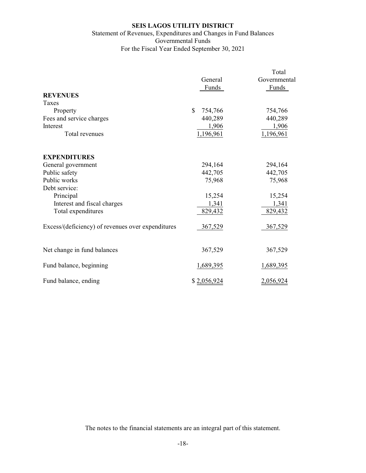## Statement of Revenues, Expenditures and Changes in Fund Balances Governmental Funds For the Fiscal Year Ended September 30, 2021

|                                                   |               | Total        |  |
|---------------------------------------------------|---------------|--------------|--|
|                                                   | General       | Governmental |  |
|                                                   | Funds         | Funds        |  |
| <b>REVENUES</b>                                   |               |              |  |
| Taxes                                             |               |              |  |
| Property                                          | \$<br>754,766 | 754,766      |  |
| Fees and service charges                          | 440,289       | 440,289      |  |
| Interest                                          | 1,906         | 1,906        |  |
| Total revenues                                    | 1,196,961     | 1,196,961    |  |
| <b>EXPENDITURES</b>                               |               |              |  |
| General government                                | 294,164       | 294,164      |  |
| Public safety                                     | 442,705       | 442,705      |  |
| Public works                                      | 75,968        | 75,968       |  |
| Debt service:                                     |               |              |  |
| Principal                                         | 15,254        | 15,254       |  |
| Interest and fiscal charges                       | 1,341         | 1,341        |  |
| Total expenditures                                | 829,432       | 829,432      |  |
|                                                   |               |              |  |
| Excess/(deficiency) of revenues over expenditures | 367,529       | 367,529      |  |
|                                                   |               |              |  |
| Net change in fund balances                       | 367,529       | 367,529      |  |
| Fund balance, beginning                           | 1,689,395     | 1,689,395    |  |
| Fund balance, ending                              | \$2,056,924   | 2,056,924    |  |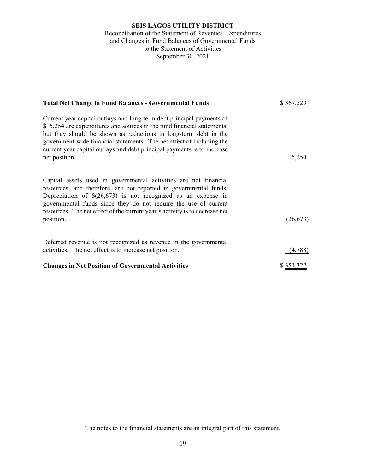## Reconciliation of the Statement of Revenues, Expenditures and Changes in Fund Balances of Governmental Funds to the Statement of Activities September 30, 2021

| <b>Total Net Change in Fund Balances - Governmental Funds</b>                                                                                                                                                                                                                                                                                                           | \$367,529 |
|-------------------------------------------------------------------------------------------------------------------------------------------------------------------------------------------------------------------------------------------------------------------------------------------------------------------------------------------------------------------------|-----------|
| Current year capital outlays and long-term debt principal payments of<br>\$15,254 are expenditures and sources in the fund financial statements,<br>but they should be shown as reductions in long-term debt in the<br>government-wide financial statements. The net effect of including the<br>current year capital outlays and debt principal payments is to increase |           |
| net position.                                                                                                                                                                                                                                                                                                                                                           | 15,254    |
| Capital assets used in governmental activities are not financial<br>resources, and therefore, are not reported in governmental funds.<br>Depreciation of $\$(26,673)$ is not recognized as an expense in<br>governmental funds since they do not require the use of current<br>resources. The net effect of the current year's activity is to decrease net<br>position. | (26, 673) |
| Deferred revenue is not recognized as revenue in the governmental<br>activities. The net effect is to increase net position.                                                                                                                                                                                                                                            | (4,788)   |
| <b>Changes in Net Position of Governmental Activities</b>                                                                                                                                                                                                                                                                                                               | \$351,322 |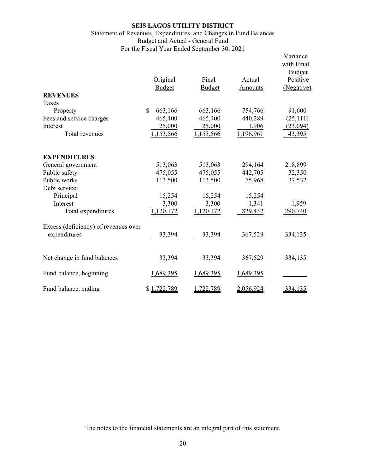### Statement of Revenues, Expenditures, and Changes in Fund Balances Budget and Actual - General Fund For the Fiscal Year Ended September 30, 2021

|                                      |               |               |           | Variance<br>with Final<br>Budget |
|--------------------------------------|---------------|---------------|-----------|----------------------------------|
|                                      | Original      | Final         | Actual    | Positive                         |
|                                      | <b>Budget</b> | <b>Budget</b> | Amounts   | (Negative)                       |
| <b>REVENUES</b>                      |               |               |           |                                  |
| Taxes                                |               |               |           |                                  |
| Property                             | \$<br>663,166 | 663,166       | 754,766   | 91,600                           |
| Fees and service charges             | 465,400       | 465,400       | 440,289   | (25,111)                         |
| Interest                             | 25,000        | 25,000        | 1,906     | (23,094)                         |
| Total revenues                       | 1,153,566     | 1,153,566     | 1,196,961 | 43,395                           |
| <b>EXPENDITURES</b>                  |               |               |           |                                  |
| General government                   | 513,063       | 513,063       | 294,164   | 218,899                          |
| Public safety                        | 475,055       | 475,055       | 442,705   | 32,350                           |
| Public works                         | 113,500       | 113,500       | 75,968    | 37,532                           |
| Debt service:                        |               |               |           |                                  |
| Principal                            | 15,254        | 15,254        | 15,254    |                                  |
| Interest                             | 3,300         | 3,300         | 1,341     | 1,959                            |
| Total expenditures                   | 1,120,172     | 1,120,172     | 829,432   | 290,740                          |
| Excess (deficiency) of revenues over |               |               |           |                                  |
| expenditures                         | 33,394        | 33,394        | 367,529   | 334,135                          |
| Net change in fund balances          | 33,394        | 33,394        | 367,529   | 334,135                          |
| Fund balance, beginning              | 1,689,395     | 1,689,395     | 1,689,395 |                                  |
| Fund balance, ending                 | \$1,722,789   | 1,722,789     | 2,056,924 | <u>334,135</u>                   |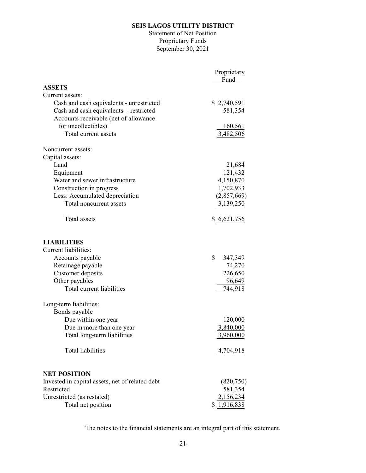## Statement of Net Position Proprietary Funds September 30, 2021

|                                                 | Proprietary    |
|-------------------------------------------------|----------------|
|                                                 | Fund           |
| <b>ASSETS</b>                                   |                |
| Current assets:                                 |                |
| Cash and cash equivalents - unrestricted        | \$2,740,591    |
| Cash and cash equivalents - restricted          | 581,354        |
| Accounts receivable (net of allowance           |                |
| for uncollectibles)                             | <u>160,561</u> |
| Total current assets                            | 3,482,506      |
| Noncurrent assets:                              |                |
| Capital assets:                                 |                |
| Land                                            | 21,684         |
| Equipment                                       | 121,432        |
| Water and sewer infrastructure                  | 4,150,870      |
| Construction in progress                        | 1,702,933      |
| Less: Accumulated depreciation                  | (2,857,669)    |
| Total noncurrent assets                         | 3,139,250      |
| Total assets                                    | \$6,621,756    |
| <b>LIABILITIES</b><br>Current liabilities:      |                |
| Accounts payable                                | \$<br>347,349  |
| Retainage payable                               | 74,270         |
| Customer deposits                               | 226,650        |
| Other payables                                  | 96,649         |
| Total current liabilities                       | 744,918        |
| Long-term liabilities:                          |                |
| Bonds payable                                   |                |
| Due within one year                             | 120,000        |
| Due in more than one year                       | 3,840,000      |
| Total long-term liabilities                     | 3,960,000      |
| <b>Total liabilities</b>                        | 4,704,918      |
|                                                 |                |
| <b>NET POSITION</b>                             |                |
| Invested in capital assets, net of related debt | (820,750)      |
| Restricted                                      | 581,354        |
| Unrestricted (as restated)                      | 2,156,234      |
| Total net position                              | \$1,916,838    |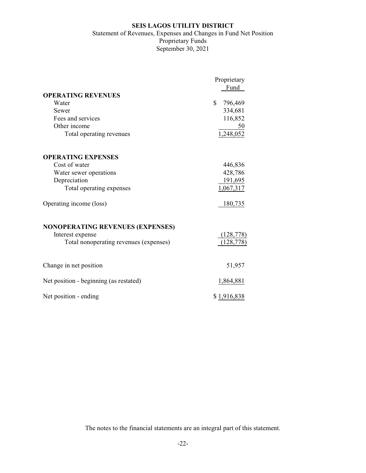### Statement of Revenues, Expenses and Changes in Fund Net Position Proprietary Funds September 30, 2021

|                                         | Proprietary   |
|-----------------------------------------|---------------|
|                                         | Fund          |
| <b>OPERATING REVENUES</b>               |               |
| Water                                   | \$<br>796,469 |
| Sewer                                   | 334,681       |
| Fees and services                       | 116,852       |
| Other income                            | 50            |
| Total operating revenues                | 1,248,052     |
| <b>OPERATING EXPENSES</b>               |               |
| Cost of water                           | 446,836       |
| Water sewer operations                  | 428,786       |
| Depreciation                            | 191,695       |
| Total operating expenses                | 1,067,317     |
| Operating income (loss)                 | 180,735       |
| <b>NONOPERATING REVENUES (EXPENSES)</b> |               |
| Interest expense                        | (128, 778)    |
| Total nonoperating revenues (expenses)  | (128, 778)    |
| Change in net position                  | 51,957        |
| Net position - beginning (as restated)  | 1,864,881     |
| Net position - ending                   | \$1,916,838   |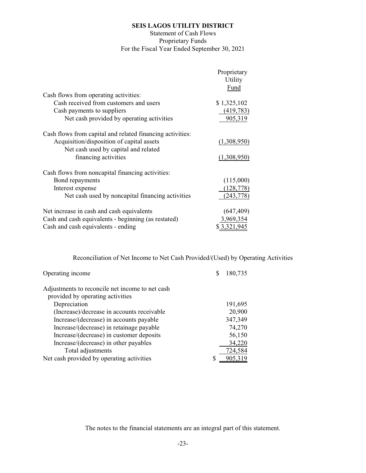### Statement of Cash Flows Proprietary Funds For the Fiscal Year Ended September 30, 2021

|                                                           | Proprietary |
|-----------------------------------------------------------|-------------|
|                                                           | Utility     |
|                                                           | Fund        |
| Cash flows from operating activities:                     |             |
| Cash received from customers and users                    | \$1,325,102 |
| Cash payments to suppliers                                | (419, 783)  |
| Net cash provided by operating activities                 | 905,319     |
| Cash flows from capital and related financing activities: |             |
| Acquisition/disposition of capital assets                 | (1,308,950) |
| Net cash used by capital and related                      |             |
| financing activities                                      | (1,308,950) |
| Cash flows from noncapital financing activities:          |             |
| Bond repayments                                           | (115,000)   |
| Interest expense                                          | (128, 778)  |
| Net cash used by noncapital financing activities          | (243, 778)  |
| Net increase in cash and cash equivalents                 | (647, 409)  |
| Cash and cash equivalents - beginning (as restated)       | 3,969,354   |
| Cash and cash equivalents - ending                        | \$3,321,945 |

Reconciliation of Net Income to Net Cash Provided/(Used) by Operating Activities

| Operating income                                |   | 180,735 |
|-------------------------------------------------|---|---------|
| Adjustments to reconcile net income to net cash |   |         |
| provided by operating activities                |   |         |
| Depreciation                                    |   | 191,695 |
| (Increase)/decrease in accounts receivable      |   | 20,900  |
| Increase/(decrease) in accounts payable         |   | 347,349 |
| Increase/(decrease) in retainage payable        |   | 74,270  |
| Increase/(decrease) in customer deposits        |   | 56,150  |
| Increase/(decrease) in other payables           |   | 34,220  |
| Total adjustments                               |   | 724,584 |
| Net cash provided by operating activities       | S | 905.319 |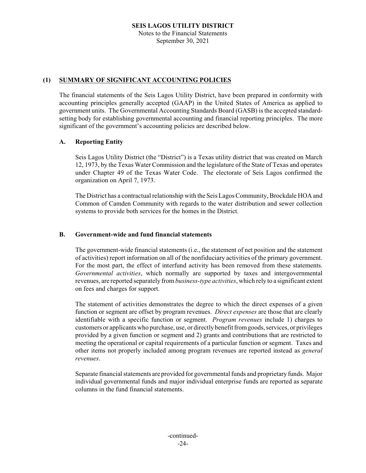Notes to the Financial Statements September 30, 2021

#### **(1) SUMMARY OF SIGNIFICANT ACCOUNTING POLICIES**

The financial statements of the Seis Lagos Utility District, have been prepared in conformity with accounting principles generally accepted (GAAP) in the United States of America as applied to government units. The Governmental Accounting Standards Board (GASB) is the accepted standardsetting body for establishing governmental accounting and financial reporting principles. The more significant of the government's accounting policies are described below.

#### **A. Reporting Entity**

Seis Lagos Utility District (the "District") is a Texas utility district that was created on March 12, 1973, by the Texas Water Commission and the legislature of the State of Texas and operates under Chapter 49 of the Texas Water Code. The electorate of Seis Lagos confirmed the organization on April 7, 1973.

The District has a contractual relationship with the Seis Lagos Community, Brockdale HOA and Common of Camden Community with regards to the water distribution and sewer collection systems to provide both services for the homes in the District.

#### **B. Government-wide and fund financial statements**

The government-wide financial statements (i.e., the statement of net position and the statement of activities) report information on all of the nonfiduciary activities of the primary government. For the most part, the effect of interfund activity has been removed from these statements. *Governmental activities*, which normally are supported by taxes and intergovernmental revenues, are reported separately from*business-type activities*, which rely to a significant extent on fees and charges for support.

The statement of activities demonstrates the degree to which the direct expenses of a given function or segment are offset by program revenues. *Direct expenses* are those that are clearly identifiable with a specific function or segment. *Program revenues* include 1) charges to customers or applicants who purchase, use, or directly benefitfromgoods, services, or privileges provided by a given function or segment and 2) grants and contributions that are restricted to meeting the operational or capital requirements of a particular function or segment. Taxes and other items not properly included among program revenues are reported instead as *general revenues*.

Separate financial statements are provided for governmental funds and proprietary funds. Major individual governmental funds and major individual enterprise funds are reported as separate columns in the fund financial statements.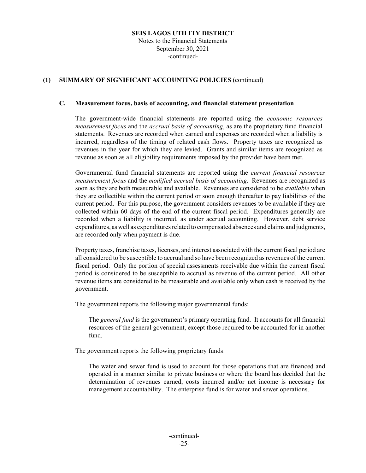Notes to the Financial Statements September 30, 2021 -continued-

#### **(1) SUMMARY OF SIGNIFICANT ACCOUNTING POLICIES** (continued)

#### **C. Measurement focus, basis of accounting, and financial statement presentation**

The government-wide financial statements are reported using the *economic resources measurement focus* and the *accrual basis of accounting*, as are the proprietary fund financial statements. Revenues are recorded when earned and expenses are recorded when a liability is incurred, regardless of the timing of related cash flows. Property taxes are recognized as revenues in the year for which they are levied. Grants and similar items are recognized as revenue as soon as all eligibility requirements imposed by the provider have been met.

Governmental fund financial statements are reported using the *current financial resources measurement focus* and the *modified accrual basis of accounting.* Revenues are recognized as soon as they are both measurable and available. Revenues are considered to be *available* when they are collectible within the current period or soon enough thereafter to pay liabilities of the current period. For this purpose, the government considers revenues to be available if they are collected within 60 days of the end of the current fiscal period. Expenditures generally are recorded when a liability is incurred, as under accrual accounting. However, debt service expenditures, as well as expenditures related to compensated absences and claims and judgments, are recorded only when payment is due.

Property taxes, franchise taxes, licenses, and interest associated with the current fiscal period are all considered to be susceptible to accrual and so have been recognized as revenues of the current fiscal period. Only the portion of special assessments receivable due within the current fiscal period is considered to be susceptible to accrual as revenue of the current period. All other revenue items are considered to be measurable and available only when cash is received by the government.

The government reports the following major governmental funds:

The *general fund* is the government's primary operating fund. It accounts for all financial resources of the general government, except those required to be accounted for in another fund.

The government reports the following proprietary funds:

The water and sewer fund is used to account for those operations that are financed and operated in a manner similar to private business or where the board has decided that the determination of revenues earned, costs incurred and/or net income is necessary for management accountability. The enterprise fund is for water and sewer operations.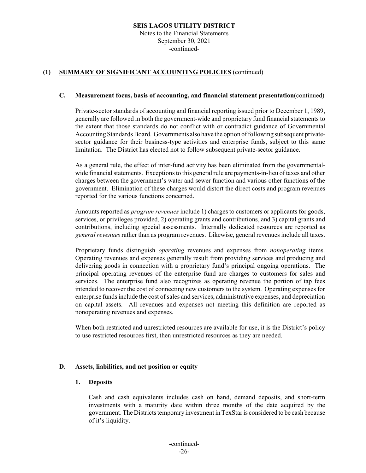Notes to the Financial Statements September 30, 2021 -continued-

#### **(1) SUMMARY OF SIGNIFICANT ACCOUNTING POLICIES** (continued)

#### **C. Measurement focus, basis of accounting, and financial statement presentation**(continued)

Private-sector standards of accounting and financial reporting issued prior to December 1, 1989, generally are followed in both the government-wide and proprietary fund financial statements to the extent that those standards do not conflict with or contradict guidance of Governmental Accounting Standards Board. Governments also have the option of following subsequent privatesector guidance for their business-type activities and enterprise funds, subject to this same limitation. The District has elected not to follow subsequent private-sector guidance.

As a general rule, the effect of inter-fund activity has been eliminated from the governmentalwide financial statements. Exceptions to this general rule are payments-in-lieu of taxes and other charges between the government's water and sewer function and various other functions of the government. Elimination of these charges would distort the direct costs and program revenues reported for the various functions concerned.

Amounts reported as *program revenues* include 1) charges to customers or applicants for goods, services, or privileges provided, 2) operating grants and contributions, and 3) capital grants and contributions, including special assessments. Internally dedicated resources are reported as *general revenues* rather than as program revenues. Likewise, general revenues include all taxes.

Proprietary funds distinguish *operating* revenues and expenses from *nonoperating* items. Operating revenues and expenses generally result from providing services and producing and delivering goods in connection with a proprietary fund's principal ongoing operations. The principal operating revenues of the enterprise fund are charges to customers for sales and services. The enterprise fund also recognizes as operating revenue the portion of tap fees intended to recover the cost of connecting new customers to the system. Operating expenses for enterprise funds include the cost of sales and services, administrative expenses, and depreciation on capital assets. All revenues and expenses not meeting this definition are reported as nonoperating revenues and expenses.

When both restricted and unrestricted resources are available for use, it is the District's policy to use restricted resources first, then unrestricted resources as they are needed.

#### **D. Assets, liabilities, and net position or equity**

#### **1. Deposits**

Cash and cash equivalents includes cash on hand, demand deposits, and short-term investments with a maturity date within three months of the date acquired by the government. The Districts temporary investment in TexStar is considered to be cash because of it's liquidity.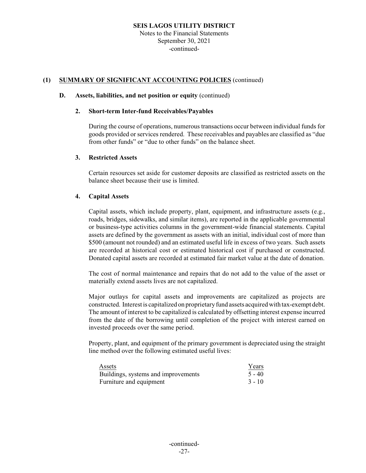Notes to the Financial Statements September 30, 2021 -continued-

#### **(1) SUMMARY OF SIGNIFICANT ACCOUNTING POLICIES** (continued)

#### **D. Assets, liabilities, and net position or equity** (continued)

#### **2. Short-term Inter-fund Receivables/Payables**

During the course of operations, numerous transactions occur between individual funds for goods provided or services rendered. These receivables and payables are classified as "due from other funds" or "due to other funds" on the balance sheet.

#### **3. Restricted Assets**

Certain resources set aside for customer deposits are classified as restricted assets on the balance sheet because their use is limited.

#### **4. Capital Assets**

Capital assets, which include property, plant, equipment, and infrastructure assets (e.g., roads, bridges, sidewalks, and similar items), are reported in the applicable governmental or business-type activities columns in the government-wide financial statements. Capital assets are defined by the government as assets with an initial, individual cost of more than \$500 (amount not rounded) and an estimated useful life in excess of two years. Such assets are recorded at historical cost or estimated historical cost if purchased or constructed. Donated capital assets are recorded at estimated fair market value at the date of donation.

The cost of normal maintenance and repairs that do not add to the value of the asset or materially extend assets lives are not capitalized.

Major outlays for capital assets and improvements are capitalized as projects are constructed. Interest is capitalized on proprietary fund assets acquired with tax-exempt debt. The amount of interest to be capitalized is calculated by offsetting interest expense incurred from the date of the borrowing until completion of the project with interest earned on invested proceeds over the same period.

Property, plant, and equipment of the primary government is depreciated using the straight line method over the following estimated useful lives:

| Assets                              | Years    |
|-------------------------------------|----------|
| Buildings, systems and improvements | $5 - 40$ |
| Furniture and equipment             | $3 - 10$ |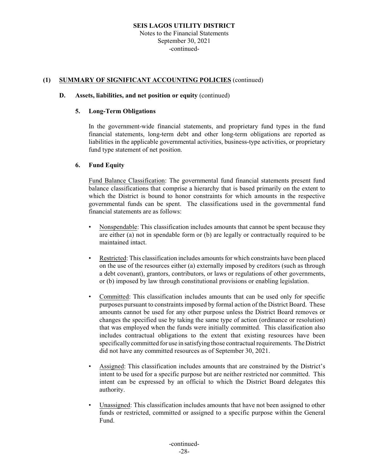Notes to the Financial Statements September 30, 2021 -continued-

#### **(1) SUMMARY OF SIGNIFICANT ACCOUNTING POLICIES** (continued)

#### **D. Assets, liabilities, and net position or equity** (continued)

#### **5. Long-Term Obligations**

In the government-wide financial statements, and proprietary fund types in the fund financial statements, long-term debt and other long-term obligations are reported as liabilities in the applicable governmental activities, business-type activities, or proprietary fund type statement of net position.

#### **6. Fund Equity**

Fund Balance Classification: The governmental fund financial statements present fund balance classifications that comprise a hierarchy that is based primarily on the extent to which the District is bound to honor constraints for which amounts in the respective governmental funds can be spent. The classifications used in the governmental fund financial statements are as follows:

- Nonspendable: This classification includes amounts that cannot be spent because they are either (a) not in spendable form or (b) are legally or contractually required to be maintained intact.
- Restricted: This classification includes amounts for which constraints have been placed on the use of the resources either (a) externally imposed by creditors (such as through a debt covenant), grantors, contributors, or laws or regulations of other governments, or (b) imposed by law through constitutional provisions or enabling legislation.
- Committed: This classification includes amounts that can be used only for specific purposes pursuant to constraints imposed by formal action of the District Board. These amounts cannot be used for any other purpose unless the District Board removes or changes the specified use by taking the same type of action (ordinance or resolution) that was employed when the funds were initially committed. This classification also includes contractual obligations to the extent that existing resources have been specifically committed for use in satisfying those contractual requirements. The District did not have any committed resources as of September 30, 2021.
- Assigned: This classification includes amounts that are constrained by the District's intent to be used for a specific purpose but are neither restricted nor committed. This intent can be expressed by an official to which the District Board delegates this authority.
- Unassigned: This classification includes amounts that have not been assigned to other funds or restricted, committed or assigned to a specific purpose within the General Fund.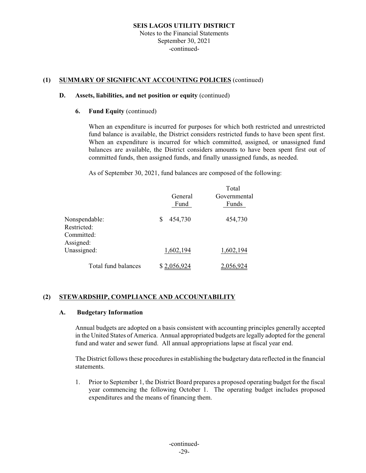Notes to the Financial Statements September 30, 2021 -continued-

#### **(1) SUMMARY OF SIGNIFICANT ACCOUNTING POLICIES** (continued)

#### **D. Assets, liabilities, and net position or equity** (continued)

#### **6. Fund Equity** (continued)

When an expenditure is incurred for purposes for which both restricted and unrestricted fund balance is available, the District considers restricted funds to have been spent first. When an expenditure is incurred for which committed, assigned, or unassigned fund balances are available, the District considers amounts to have been spent first out of committed funds, then assigned funds, and finally unassigned funds, as needed.

As of September 30, 2021, fund balances are composed of the following:

|                     |              | Total        |
|---------------------|--------------|--------------|
|                     | General      | Governmental |
|                     | Fund         | Funds        |
| Nonspendable:       | 454,730<br>S | 454,730      |
| Restricted:         |              |              |
| Committed:          |              |              |
| Assigned:           |              |              |
| Unassigned:         | 1,602,194    | 1,602,194    |
| Total fund balances | \$2,056,924  | 2,056,924    |

#### **(2) STEWARDSHIP, COMPLIANCE AND ACCOUNTABILITY**

#### **A. Budgetary Information**

Annual budgets are adopted on a basis consistent with accounting principles generally accepted in the United States of America. Annual appropriated budgets are legally adopted for the general fund and water and sewer fund. All annual appropriations lapse at fiscal year end.

The District follows these procedures in establishing the budgetary data reflected in the financial statements.

1. Prior to September 1, the District Board prepares a proposed operating budget for the fiscal year commencing the following October 1. The operating budget includes proposed expenditures and the means of financing them.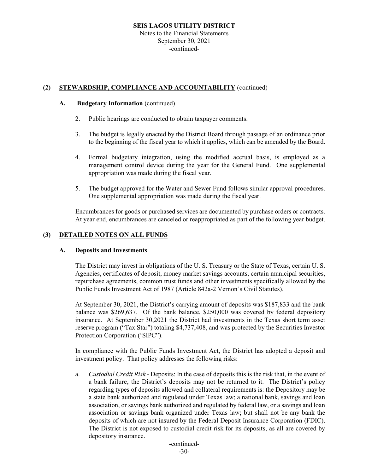#### **SEIS LAGOS UTILITY DISTRICT** Notes to the Financial Statements September 30, 2021

-continued-

## **(2) STEWARDSHIP, COMPLIANCE AND ACCOUNTABILITY** (continued)

#### **A. Budgetary Information** (continued)

- 2. Public hearings are conducted to obtain taxpayer comments.
- 3. The budget is legally enacted by the District Board through passage of an ordinance prior to the beginning of the fiscal year to which it applies, which can be amended by the Board.
- 4. Formal budgetary integration, using the modified accrual basis, is employed as a management control device during the year for the General Fund. One supplemental appropriation was made during the fiscal year.
- 5. The budget approved for the Water and Sewer Fund follows similar approval procedures. One supplemental appropriation was made during the fiscal year.

Encumbrances for goods or purchased services are documented by purchase orders or contracts. At year end, encumbrances are canceled or reappropriated as part of the following year budget.

### **(3) DETAILED NOTES ON ALL FUNDS**

#### **A. Deposits and Investments**

The District may invest in obligations of the U. S. Treasury or the State of Texas, certain U. S. Agencies, certificates of deposit, money market savings accounts, certain municipal securities, repurchase agreements, common trust funds and other investments specifically allowed by the Public Funds Investment Act of 1987 (Article 842a-2 Vernon's Civil Statutes).

At September 30, 2021, the District's carrying amount of deposits was \$187,833 and the bank balance was \$269,637. Of the bank balance, \$250,000 was covered by federal depository insurance. At September 30,2021 the District had investments in the Texas short term asset reserve program ("Tax Star") totaling \$4,737,408, and was protected by the Securities Investor Protection Corporation ('SIPC").

In compliance with the Public Funds Investment Act, the District has adopted a deposit and investment policy. That policy addresses the following risks:

a. *Custodial Credit Risk* - Deposits: In the case of deposits this is the risk that, in the event of a bank failure, the District's deposits may not be returned to it. The District's policy regarding types of deposits allowed and collateral requirements is: the Depository may be a state bank authorized and regulated under Texas law; a national bank, savings and loan association, or savings bank authorized and regulated by federal law, or a savings and loan association or savings bank organized under Texas law; but shall not be any bank the deposits of which are not insured by the Federal Deposit Insurance Corporation (FDIC). The District is not exposed to custodial credit risk for its deposits, as all are covered by depository insurance.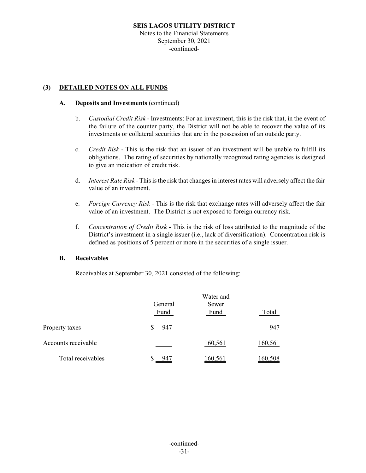Notes to the Financial Statements September 30, 2021 -continued-

### **(3) DETAILED NOTES ON ALL FUNDS**

#### **A. Deposits and Investments** (continued)

- b. *Custodial Credit Risk* Investments: For an investment, this is the risk that, in the event of the failure of the counter party, the District will not be able to recover the value of its investments or collateral securities that are in the possession of an outside party.
- c. *Credit Risk* This is the risk that an issuer of an investment will be unable to fulfill its obligations. The rating of securities by nationally recognized rating agencies is designed to give an indication of credit risk.
- d. *Interest Rate Risk* Thisisthe risk that changes in interest rates will adversely affect the fair value of an investment.
- e. *Foreign Currency Risk* This is the risk that exchange rates will adversely affect the fair value of an investment. The District is not exposed to foreign currency risk.
- f. *Concentration of Credit Risk* This is the risk of loss attributed to the magnitude of the District's investment in a single issuer (i.e., lack of diversification). Concentration risk is defined as positions of 5 percent or more in the securities of a single issuer.

#### **B. Receivables**

Receivables at September 30, 2021 consisted of the following:

|                     |          | Water and |         |  |
|---------------------|----------|-----------|---------|--|
|                     | General  | Sewer     |         |  |
|                     | Fund     | Fund      | Total   |  |
| Property taxes      | 947<br>S |           | 947     |  |
| Accounts receivable |          | 160,561   | 160,561 |  |
| Total receivables   | S<br>941 | 160,561   | 160,508 |  |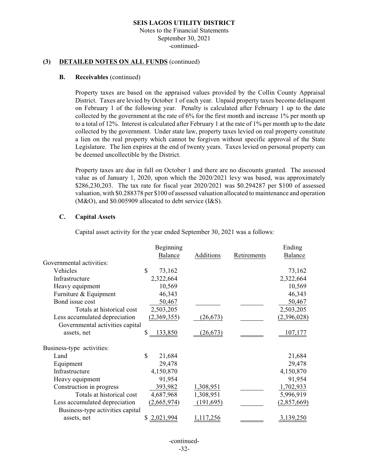Notes to the Financial Statements September 30, 2021 -continued-

#### **(3) DETAILED NOTES ON ALL FUNDS** (continued)

#### **B. Receivables** (continued)

Property taxes are based on the appraised values provided by the Collin County Appraisal District. Taxes are levied by October 1 of each year. Unpaid property taxes become delinquent on February 1 of the following year. Penalty is calculated after February 1 up to the date collected by the government at the rate of 6% for the first month and increase 1% per month up to a total of 12%. Interest is calculated after February 1 at the rate of 1% per month up to the date collected by the government. Under state law, property taxes levied on real property constitute a lien on the real property which cannot be forgiven without specific approval of the State Legislature. The lien expires at the end of twenty years. Taxes levied on personal property can be deemed uncollectible by the District.

Property taxes are due in full on October 1 and there are no discounts granted. The assessed value as of January 1, 2020, upon which the 2020/2021 levy was based, was approximately \$286,230,203. The tax rate for fiscal year 2020/2021 was \$0.294287 per \$100 of assessed valuation, with \$0.288378 per \$100 of assessed valuation allocated to maintenance and operation  $(M&O)$ , and \$0.005909 allocated to debt service (I&S).

#### **C. Capital Assets**

Capital asset activity for the year ended September 30, 2021 was a follows:

|                                  | Beginning               |                  |             | Ending      |
|----------------------------------|-------------------------|------------------|-------------|-------------|
|                                  | <b>Balance</b>          | Additions        | Retirements | Balance     |
| Governmental activities:         |                         |                  |             |             |
| Vehicles                         | $\mathbb{S}$<br>73,162  |                  |             | 73,162      |
| Infrastructure                   | 2,322,664               |                  |             | 2,322,664   |
| Heavy equipment                  | 10,569                  |                  |             | 10,569      |
| Furniture & Equipment            | 46,343                  |                  |             | 46,343      |
| Bond issue cost                  | 50,467                  |                  |             | 50,467      |
| Totals at historical cost        | 2,503,205               |                  |             | 2,503,205   |
| Less accumulated depreciation    | (2,369,355)             | (26, 673)        |             | (2,396,028) |
| Governmental activities capital  |                         |                  |             |             |
| assets, net                      | <u>133,850</u>          | (26, 673)        |             | 107,177     |
| Business-type activities:        |                         |                  |             |             |
| Land                             | <sup>\$</sup><br>21,684 |                  |             | 21,684      |
| Equipment                        | 29,478                  |                  |             | 29,478      |
| Infrastructure                   | 4,150,870               |                  |             | 4,150,870   |
| Heavy equipment                  | 91,954                  |                  |             | 91,954      |
| Construction in progress         | 393,982                 | 1,308,951        |             | 1,702,933   |
| Totals at historical cost        | 4,687,968               | 1,308,951        |             | 5,996,919   |
| Less accumulated depreciation    | (2,665,974)             | (191, 695)       |             | (2,857,669) |
| Business-type activities capital |                         |                  |             |             |
| assets, net                      | 2,021,994<br>S.         | <u>1,117,256</u> |             | 3,139,250   |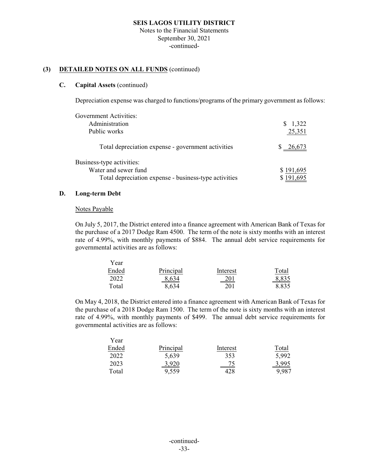Notes to the Financial Statements September 30, 2021 -continued-

## **(3) DETAILED NOTES ON ALL FUNDS** (continued)

#### **C. Capital Assets** (continued)

Depreciation expense was charged to functions/programs of the primary government as follows:

| Government Activities:                                |             |
|-------------------------------------------------------|-------------|
| Administration                                        | 1,322<br>S. |
| Public works                                          | 25,351      |
| Total depreciation expense - government activities    | \$ 26,673   |
| Business-type activities:                             |             |
| Water and sewer fund                                  | \$191,695   |
| Total depreciation expense - business-type activities | \$191,695   |

#### **D. Long-term Debt**

#### Notes Payable

On July 5, 2017, the District entered into a finance agreement with American Bank of Texas for the purchase of a 2017 Dodge Ram 4500. The term of the note is sixty months with an interest rate of 4.99%, with monthly payments of \$884. The annual debt service requirements for governmental activities are as follows:

| Year  |           |          |       |
|-------|-----------|----------|-------|
| Ended | Principal | Interest | Total |
| 2022  | 8,634     | 201      | 8,835 |
| Total | 8,634     | 201      | 8.835 |

On May 4, 2018, the District entered into a finance agreement with American Bank of Texas for the purchase of a 2018 Dodge Ram 1500. The term of the note is sixty months with an interest rate of 4.99%, with monthly payments of \$499. The annual debt service requirements for governmental activities are as follows:

| Year  |           |          |       |
|-------|-----------|----------|-------|
| Ended | Principal | Interest | Total |
| 2022  | 5,639     | 353      | 5,992 |
| 2023  | 3,920     | 75       | 3,995 |
| Total | 9,559     | 428      | 9,987 |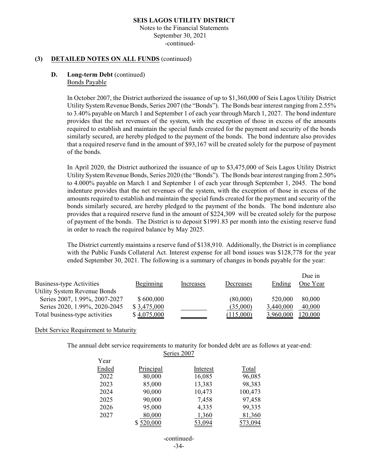Notes to the Financial Statements September 30, 2021 -continued-

#### **(3) DETAILED NOTES ON ALL FUNDS** (continued)

#### **D. Long-term Debt** (continued) Bonds Payable

In October 2007, the District authorized the issuance of up to \$1,360,000 of Seis Lagos Utility District Utility System Revenue Bonds, Series 2007 (the "Bonds"). The Bonds bear interest ranging from2.55% to 3.40% payable on March 1 and September 1 of each year through March 1, 2027. The bond indenture provides that the net revenues of the system, with the exception of those in excess of the amounts required to establish and maintain the special funds created for the payment and security of the bonds similarly secured, are hereby pledged to the payment of the bonds. The bond indenture also provides that a required reserve fund in the amount of \$93,167 will be created solely for the purpose of payment of the bonds.

In April 2020, the District authorized the issuance of up to \$3,475,000 of Seis Lagos Utility District Utility System Revenue Bonds, Series 2020 (the "Bonds"). The Bonds bear interest ranging from2.50% to 4.000% payable on March 1 and September 1 of each year through September 1, 2045. The bond indenture provides that the net revenues of the system, with the exception of those in excess of the amounts required to establish and maintain the special funds created for the payment and security of the bonds similarly secured, are hereby pledged to the payment of the bonds. The bond indenture also provides that a required reserve fund in the amount of \$224,309 will be created solely for the purpose of payment of the bonds. The District is to deposit \$1991.83 per month into the existing reserve fund in order to reach the required balance by May 2025.

The District currently maintains a reserve fund of \$138,910. Additionally, the District is in compliance with the Public Funds Collateral Act. Interest expense for all bond issues was \$128,778 for the year ended September 30, 2021. The following is a summary of changes in bonds payable for the year:

|                                |             |           |           |           | Due in   |
|--------------------------------|-------------|-----------|-----------|-----------|----------|
| Business-type Activities       | Beginning   | Increases | Decreases | Ending    | One Year |
| Utility System Revenue Bonds   |             |           |           |           |          |
| Series 2007, 1.99%, 2007-2027  | \$600,000   |           | (80,000)  | 520,000   | 80,000   |
| Series 2020, 1.99%, 2020-2045  | \$3,475,000 |           | (35,000)  | 3,440,000 | 40,000   |
| Total business-type activities | \$4,075,000 |           | (115,000) | 3,960,000 | 120,000  |

#### Debt Service Requirement to Maturity

The annual debt service requirements to maturity for bonded debt are as follows at year-end: Series 2007

| Year  |           |          |         |
|-------|-----------|----------|---------|
| Ended | Principal | Interest | Total   |
| 2022  | 80,000    | 16,085   | 96,085  |
| 2023  | 85,000    | 13,383   | 98,383  |
| 2024  | 90,000    | 10,473   | 100,473 |
| 2025  | 90,000    | 7,458    | 97,458  |
| 2026  | 95,000    | 4,335    | 99,335  |
| 2027  | 80,000    | 1,360    | 81,360  |
|       | \$520,000 | 53,094   | 573,094 |
|       |           |          |         |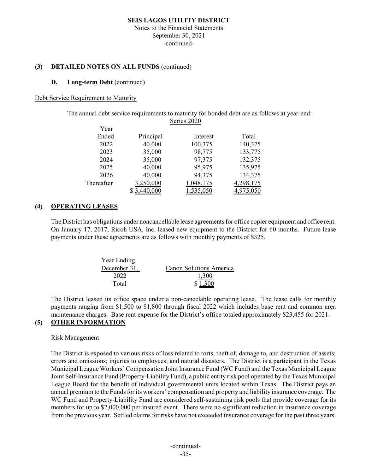Notes to the Financial Statements September 30, 2021 -continued-

#### **(3) DETAILED NOTES ON ALL FUNDS** (continued)

#### **D. Long-term Debt** (continued)

#### Debt Service Requirement to Maturity

The annual debt service requirements to maturity for bonded debt are as follows at year-end: Series 2020

| Year       |           |           |           |
|------------|-----------|-----------|-----------|
| Ended      | Principal | Interest  | Total     |
| 2022       | 40,000    | 100,375   | 140,375   |
| 2023       | 35,000    | 98,775    | 133,775   |
| 2024       | 35,000    | 97,375    | 132,375   |
| 2025       | 40,000    | 95,975    | 135,975   |
| 2026       | 40,000    | 94,375    | 134,375   |
| Thereafter | 3,250,000 | 1,048,175 | 4,298,175 |
|            | 3,440,000 | 1,535,050 | 4,975,050 |

#### **(4) OPERATING LEASES**

The District has obligations under noncancellable lease agreements for office copier equipment and office rent. On January 17, 2017, Ricoh USA, Inc. leased new equipment to the District for 60 months. Future lease payments under these agreements are as follows with monthly payments of \$325.

| Year Ending  |                         |
|--------------|-------------------------|
| December 31, | Canon Solutions America |
| 2022         | 1,300                   |
| Total        | \$1,300                 |

The District leased its office space under a non-cancelable operating lease. The lease calls for monthly payments ranging from \$1,500 to \$1,800 through fiscal 2022 which includes base rent and common area maintenance charges. Base rent expense for the District's office totaled approximately \$23,455 for 2021.

## **(5) OTHER INFORMATION**

Risk Management

The District is exposed to various risks of loss related to torts, theft of, damage to, and destruction of assets; errors and omissions; injuries to employees; and natural disasters. The District is a participant in the Texas Municipal League Workers' Compensation Joint Insurance Fund (WC Fund) and the Texas Municipal League Joint Self-Insurance Fund (Property-Liability Fund), a public entity risk pool operated by the Texas Municipal League Board for the benefit of individual governmental units located within Texas. The District pays an annual premium to the Funds for its workers' compensation and property and liability insurance coverage. The WC Fund and Property-Liability Fund are considered self-sustaining risk pools that provide coverage for its members for up to \$2,000,000 per insured event. There were no significant reduction in insurance coverage from the previous year. Settled claims for risks have not exceeded insurance coverage for the past three years.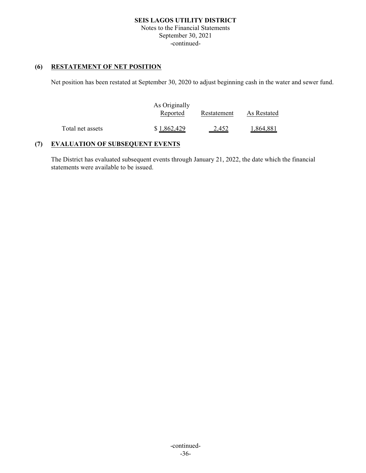Notes to the Financial Statements September 30, 2021 -continued-

## **(6) RESTATEMENT OF NET POSITION**

Net position has been restated at September 30, 2020 to adjust beginning cash in the water and sewer fund.

|                  | As Originally<br>Reported | Restatement | As Restated |  |
|------------------|---------------------------|-------------|-------------|--|
| Total net assets | \$1,862,429               | 2,452       | 1.864.881   |  |

#### **(7) EVALUATION OF SUBSEQUENT EVENTS**

The District has evaluated subsequent events through January 21, 2022, the date which the financial statements were available to be issued.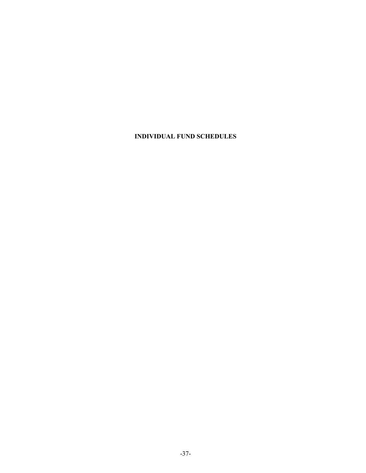## **INDIVIDUAL FUND SCHEDULES**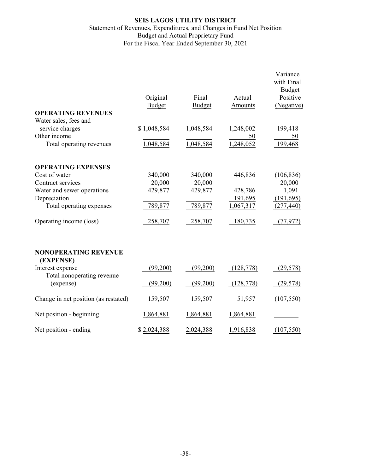#### **SEIS LAGOS UTILITY DISTRICT** Statement of Revenues, Expenditures, and Changes in Fund Net Position Budget and Actual Proprietary Fund For the Fiscal Year Ended September 30, 2021

|                                      |               |               |            | Variance<br>with Final<br><b>Budget</b> |
|--------------------------------------|---------------|---------------|------------|-----------------------------------------|
|                                      | Original      | Final         | Actual     | Positive                                |
|                                      | <b>Budget</b> | <b>Budget</b> | Amounts    | (Negative)                              |
| <b>OPERATING REVENUES</b>            |               |               |            |                                         |
| Water sales, fees and                |               |               |            |                                         |
| service charges                      | \$1,048,584   | 1,048,584     | 1,248,002  | 199,418                                 |
| Other income                         |               |               | 50         | 50                                      |
| Total operating revenues             | 1,048,584     | 1,048,584     | 1,248,052  | 199,468                                 |
| <b>OPERATING EXPENSES</b>            |               |               |            |                                         |
| Cost of water                        | 340,000       | 340,000       | 446,836    | (106, 836)                              |
| Contract services                    | 20,000        | 20,000        |            | 20,000                                  |
| Water and sewer operations           | 429,877       | 429,877       | 428,786    | 1,091                                   |
| Depreciation                         |               |               | 191,695    | (191, 695)                              |
| Total operating expenses             | 789,877       | 789,877       | 1,067,317  | (277, 440)                              |
| Operating income (loss)              | 258,707       | 258,707       | 180,735    | (77, 972)                               |
| <b>NONOPERATING REVENUE</b>          |               |               |            |                                         |
| (EXPENSE)                            |               |               |            |                                         |
| Interest expense                     | (99,200)      | (99,200)      | (128, 778) | (29, 578)                               |
| Total nonoperating revenue           |               |               |            |                                         |
| (expense)                            | (99,200)      | (99,200)      | (128, 778) | (29, 578)                               |
| Change in net position (as restated) | 159,507       | 159,507       | 51,957     | (107, 550)                              |
| Net position - beginning             | 1,864,881     | 1,864,881     | 1,864,881  |                                         |
| Net position - ending                | \$2,024,388   | 2,024,388     | 1,916,838  | (107, 550)                              |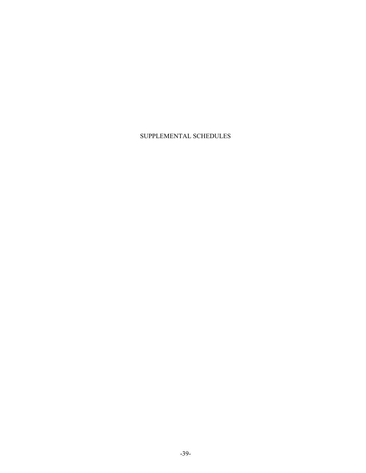## SUPPLEMENTAL SCHEDULES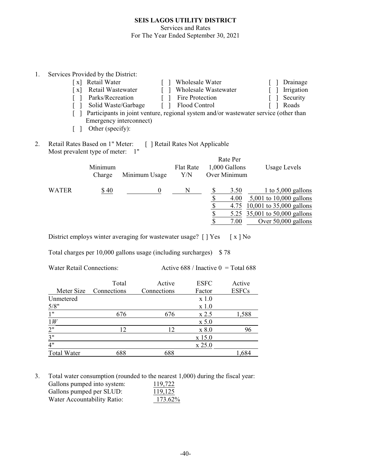## **SEIS LAGOS UTILITY DISTRICT** Services and Rates

#### For The Year Ended September 30, 2021

1. Services Provided by the District:

| [x] Retail Water        | [ ] Wholesale Water                                                                         |  | [ ] Drainage   |
|-------------------------|---------------------------------------------------------------------------------------------|--|----------------|
| [x] Retail Wastewater   | [] Wholesale Wastewater                                                                     |  | [ ] Irrigation |
| [ ] Parks/Recreation    | <b>Fire Protection</b>                                                                      |  | [ ] Security   |
| [ ] Solid Waste/Garbage | [ ] Flood Control                                                                           |  | [ ] Roads      |
|                         | $\lceil$ Developments in joint venture regional system and/or westwater service (other than |  |                |

- [ ] Participants in joint venture, regional system and/or wastewater service (other than Emergency interconnect)
- [ ] Other (specify):
- 2. Retail Rates Based on 1" Meter: [ ] Retail Rates Not Applicable Most prevalent type of meter: 1"

|              | Minimum<br>Charge | Minimum Usage | <b>Flat Rate</b><br>Y/N |   | Rate Per<br>1,000 Gallons<br>Over Minimum | Usage Levels                                                                                                                          |
|--------------|-------------------|---------------|-------------------------|---|-------------------------------------------|---------------------------------------------------------------------------------------------------------------------------------------|
| <b>WATER</b> | \$40              | $\theta$      | N                       | S | 3.50<br>4.00<br>4.75<br>7.00              | 1 to $5,000$ gallons<br>5,001 to $10,000$ gallons<br>10,001 to 35,000 gallons<br>5.25 35,001 to 50,000 gallons<br>Over 50,000 gallons |

District employs winter averaging for wastewater usage? [ ] Yes [ x ] No

Water Retail Connections:  $\frac{\text{Active } 688}{\text{Active } 688}$  Inactive  $0 = \text{Total } 688$ 

Total charges per 10,000 gallons usage (including surcharges) \$ 78

|                    | Total       | Active      | <b>ESFC</b>                   | Active       |
|--------------------|-------------|-------------|-------------------------------|--------------|
| Meter Size         | Connections | Connections | Factor                        | <b>ESFCs</b> |
| Unmetered          |             |             | $\boldsymbol{\mathrm{x}}$ 1.0 |              |
| 5/8"               |             |             | x 1.0                         |              |
| 1"                 | 676         | 676         | x 2.5                         | 1,588        |
| 1W                 |             |             | x 5.0                         |              |
| 2"                 | 12          | 12          | x 8.0                         | 96           |
| 3"                 |             |             | x 15.0                        |              |
| 4"                 |             |             | $x$ 25.0                      |              |
| <b>Total Water</b> | 688         | 688         |                               | 1,684        |

3. Total water consumption (rounded to the nearest 1,000) during the fiscal year: Gallons pumped into system:  $\frac{119,722}{119,125}$ Gallons pumped per SLUD:  $\frac{119,125}{173.62\%}$ Water Accountability Ratio: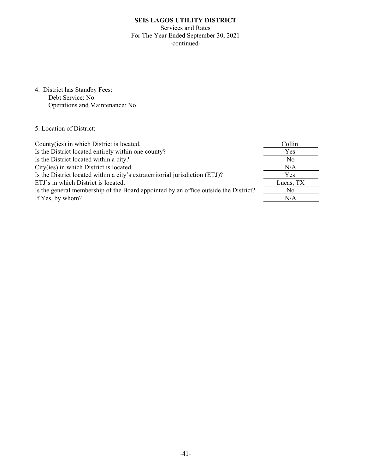#### Services and Rates For The Year Ended September 30, 2021 -continued-

4. District has Standby Fees: Debt Service: No Operations and Maintenance: No

## 5. Location of District:

| County (ies) in which District is located.                                          | Collin         |
|-------------------------------------------------------------------------------------|----------------|
| Is the District located entirely within one county?                                 | Yes            |
| Is the District located within a city?                                              | N <sub>0</sub> |
| City(ies) in which District is located.                                             | N/A            |
| Is the District located within a city's extraterritorial jurisdiction (ETJ)?        | <b>Yes</b>     |
| ETJ's in which District is located.                                                 | Lucas, TX      |
| Is the general membership of the Board appointed by an office outside the District? | N <sub>0</sub> |
| If Yes, by whom?                                                                    | N/A            |
|                                                                                     |                |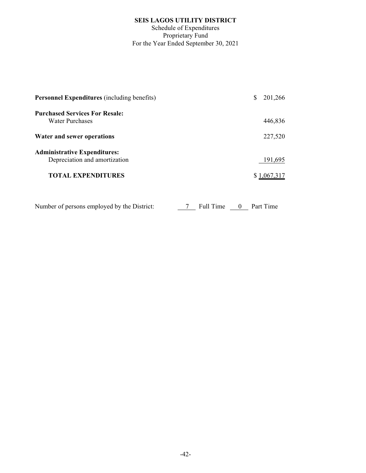#### Schedule of Expenditures Proprietary Fund For the Year Ended September 30, 2021

| <b>Personnel Expenditures</b> (including benefits)              | 201,266<br><sup>S</sup> |
|-----------------------------------------------------------------|-------------------------|
| <b>Purchased Services For Resale:</b><br><b>Water Purchases</b> | 446,836                 |
| Water and sewer operations                                      | 227,520                 |
| <b>Administrative Expenditures:</b>                             |                         |
| Depreciation and amortization                                   | 191,695                 |
| <b>TOTAL EXPENDITURES</b>                                       | \$1,067,317             |
|                                                                 |                         |

| Number of persons employed by the District: |  | 7 Full Time |  | Part Time |
|---------------------------------------------|--|-------------|--|-----------|
|---------------------------------------------|--|-------------|--|-----------|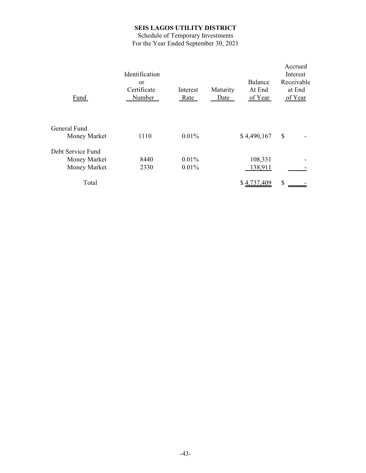Schedule of Temporary Investments For the Year Ended September 30, 2021

| Fund              | Identification<br><sub>or</sub><br>Certificate<br>Number | Interest<br>Rate | Maturity<br>Date | Balance<br>At End<br>of Year | Accrued<br>Interest<br>Receivable<br>at End<br>of Year |
|-------------------|----------------------------------------------------------|------------------|------------------|------------------------------|--------------------------------------------------------|
| General Fund      |                                                          |                  |                  |                              |                                                        |
| Money Market      | 1110                                                     | 0.01%            |                  | \$4,490,167                  | \$                                                     |
| Debt Service Fund |                                                          |                  |                  |                              |                                                        |
| Money Market      | 8440                                                     | $0.01\%$         |                  | 108,331                      |                                                        |
| Money Market      | 2330                                                     | 0.01%            |                  | 138,911                      |                                                        |
| Total             |                                                          |                  |                  | \$4,737,409                  | \$                                                     |
|                   |                                                          |                  |                  |                              |                                                        |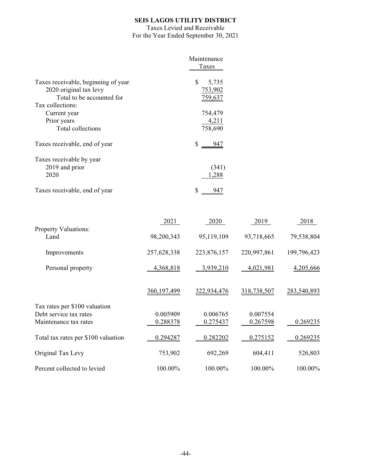#### Taxes Levied and Receivable For the Year Ended September 30, 2021

|                                     | Maintenance<br>Taxes |
|-------------------------------------|----------------------|
| Taxes receivable, beginning of year | \$<br>5,735          |
| 2020 original tax levy              | 753,902              |
| Total to be accounted for           | 759,637              |
| Tax collections:                    |                      |
| Current year                        | 754,479              |
| Prior years                         | 4,211                |
| Total collections                   | 758,690              |
| Taxes receivable, end of year       |                      |
| Taxes receivable by year            |                      |
| 2019 and prior                      | (341)                |
| 2020                                | 1,288                |
| Taxes receivable, end of year       | S<br>947             |

|                                     | 2021          | 2020        | 2019        | 2018        |
|-------------------------------------|---------------|-------------|-------------|-------------|
| <b>Property Valuations:</b><br>Land | 98,200,343    | 95,119,109  | 93,718,665  | 79,538,804  |
| Improvements                        | 257,628,338   | 223,876,157 | 220,997,861 | 199,796,423 |
| Personal property                   | 4,368,818     | 3,939,210   | 4,021,981   | 4,205,666   |
|                                     | 360, 197, 499 | 322,934,476 | 318,738,507 | 283,540,893 |
| Tax rates per \$100 valuation       |               |             |             |             |
| Debt service tax rates              | 0.005909      | 0.006765    | 0.007554    |             |
| Maintenance tax rates               | 0.288378      | 0.275437    | 0.267598    | 0.269235    |
| Total tax rates per \$100 valuation | 0.294287      | 0.282202    | 0.275152    | 0.269235    |
| Original Tax Levy                   | 753,902       | 692,269     | 604,411     | 526,803     |
| Percent collected to levied         | 100.00%       | 100.00%     | 100.00%     | 100.00%     |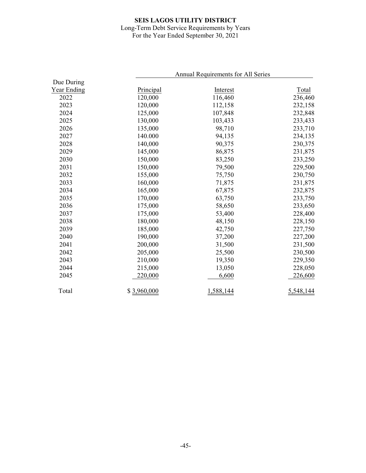#### **SEIS LAGOS UTILITY DISTRICT** Long-Term Debt Service Requirements by Years For the Year Ended September 30, 2021

|                    |             | Annual Requirements for All Series |           |
|--------------------|-------------|------------------------------------|-----------|
| Due During         |             |                                    |           |
| <b>Year Ending</b> | Principal   | Interest                           | Total     |
| 2022               | 120,000     | 116,460                            | 236,460   |
| 2023               | 120,000     | 112,158                            | 232,158   |
| 2024               | 125,000     | 107,848                            | 232,848   |
| 2025               | 130,000     | 103,433                            | 233,433   |
| 2026               | 135,000     | 98,710                             | 233,710   |
| 2027               | 140.000     | 94,135                             | 234,135   |
| 2028               | 140,000     | 90,375                             | 230,375   |
| 2029               | 145,000     | 86,875                             | 231,875   |
| 2030               | 150,000     | 83,250                             | 233,250   |
| 2031               | 150,000     | 79,500                             | 229,500   |
| 2032               | 155,000     | 75,750                             | 230,750   |
| 2033               | 160,000     | 71,875                             | 231,875   |
| 2034               | 165,000     | 67,875                             | 232,875   |
| 2035               | 170,000     | 63,750                             | 233,750   |
| 2036               | 175,000     | 58,650                             | 233,650   |
| 2037               | 175,000     | 53,400                             | 228,400   |
| 2038               | 180,000     | 48,150                             | 228,150   |
| 2039               | 185,000     | 42,750                             | 227,750   |
| 2040               | 190,000     | 37,200                             | 227,200   |
| 2041               | 200,000     | 31,500                             | 231,500   |
| 2042               | 205,000     | 25,500                             | 230,500   |
| 2043               | 210,000     | 19,350                             | 229,350   |
| 2044               | 215,000     | 13,050                             | 228,050   |
| 2045               | 220,000     | 6,600                              | 226,600   |
| Total              | \$3,960,000 | 1,588,144                          | 5,548,144 |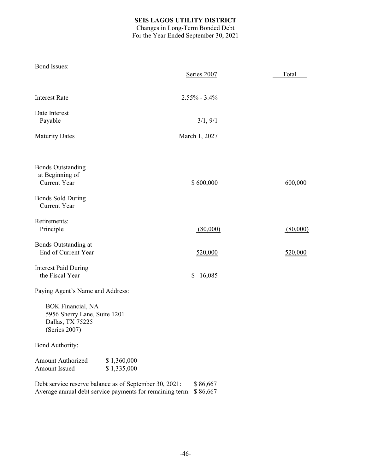#### Changes in Long-Term Bonded Debt For the Year Ended September 30, 2021

| <b>Bond Issues:</b>                                                                                                   |                            | Series 2007          | Total    |
|-----------------------------------------------------------------------------------------------------------------------|----------------------------|----------------------|----------|
| <b>Interest Rate</b>                                                                                                  |                            | $2.55\% - 3.4\%$     |          |
| Date Interest<br>Payable                                                                                              |                            | 3/1, 9/1             |          |
| <b>Maturity Dates</b>                                                                                                 |                            | March 1, 2027        |          |
| <b>Bonds Outstanding</b><br>at Beginning of<br><b>Current Year</b><br><b>Bonds Sold During</b><br><b>Current Year</b> |                            | \$600,000            | 600,000  |
| Retirements:<br>Principle                                                                                             |                            | (80,000)             | (80,000) |
| <b>Bonds Outstanding at</b><br>End of Current Year                                                                    |                            | 520,000              | 520,000  |
| <b>Interest Paid During</b><br>the Fiscal Year                                                                        |                            | \$<br>16,085         |          |
| Paying Agent's Name and Address:                                                                                      |                            |                      |          |
| <b>BOK Financial, NA</b><br>5956 Sherry Lane, Suite 1201<br>Dallas, TX 75225<br>(Series 2007)                         |                            |                      |          |
| Bond Authority:                                                                                                       |                            |                      |          |
| Amount Authorized<br>Amount Issued                                                                                    | \$1,360,000<br>\$1,335,000 |                      |          |
| Debt service reserve balance as of September 30, 2021:<br>Average annual debt service payments for remaining term:    |                            | \$86,667<br>\$86,667 |          |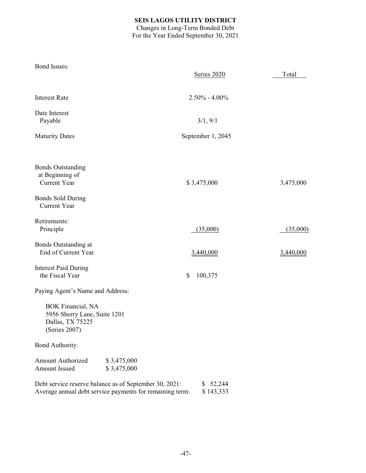#### Changes in Long-Term Bonded Debt For the Year Ended September 30, 2021

| <b>Bond Issues:</b>                                                                                                   |                            | Series 2020               | Total     |
|-----------------------------------------------------------------------------------------------------------------------|----------------------------|---------------------------|-----------|
| <b>Interest Rate</b>                                                                                                  |                            | $2.50\% - 4.00\%$         |           |
| Date Interest<br>Payable                                                                                              |                            | 3/1, 9/1                  |           |
| <b>Maturity Dates</b>                                                                                                 |                            | September 1, 2045         |           |
| <b>Bonds Outstanding</b><br>at Beginning of<br><b>Current Year</b><br><b>Bonds Sold During</b><br><b>Current Year</b> |                            | \$3,475,000               | 3,475,000 |
| Retirements:<br>Principle                                                                                             |                            | (35,000)                  | (35,000)  |
| Bonds Outstanding at<br>End of Current Year                                                                           |                            | 3,440,000                 | 3,440,000 |
| <b>Interest Paid During</b><br>the Fiscal Year                                                                        |                            | \$<br>100,375             |           |
| Paying Agent's Name and Address:                                                                                      |                            |                           |           |
| <b>BOK Financial, NA</b><br>5956 Sherry Lane, Suite 1201<br>Dallas, TX 75225<br>(Series 2007)                         |                            |                           |           |
| Bond Authority:                                                                                                       |                            |                           |           |
| Amount Authorized<br>Amount Issued                                                                                    | \$3,475,000<br>\$3,475,000 |                           |           |
| Debt service reserve balance as of September 30, 2021:<br>Average annual debt service payments for remaining term:    |                            | 52,244<br>S.<br>\$143,333 |           |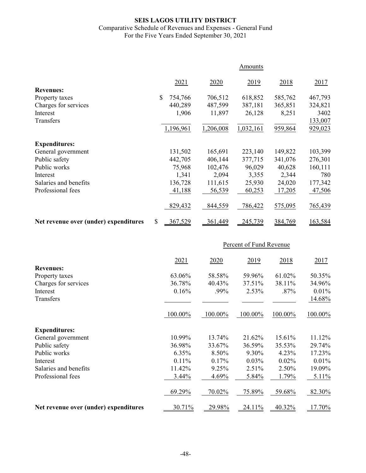#### **SEIS LAGOS UTILITY DISTRICT** Comparative Schedule of Revenues and Expenses - General Fund For the Five Years Ended September 30, 2021

|                                       |               |           | Amounts   |         |         |
|---------------------------------------|---------------|-----------|-----------|---------|---------|
|                                       | 2021          | 2020      | 2019      | 2018    | 2017    |
| <b>Revenues:</b>                      |               |           |           |         |         |
| Property taxes                        | \$<br>754,766 | 706,512   | 618,852   | 585,762 | 467,793 |
| Charges for services                  | 440,289       | 487,599   | 387,181   | 365,851 | 324,821 |
| Interest                              | 1,906         | 11,897    | 26,128    | 8,251   | 3402    |
| Transfers                             |               |           |           |         | 133,007 |
|                                       | 1,196,961     | 1,206,008 | 1,032,161 | 959,864 | 929,023 |
| <b>Expenditures:</b>                  |               |           |           |         |         |
| General government                    | 131,502       | 165,691   | 223,140   | 149,822 | 103,399 |
| Public safety                         | 442,705       | 406,144   | 377,715   | 341,076 | 276,301 |
| Public works                          | 75,968        | 102,476   | 96,029    | 40,628  | 160,111 |
| Interest                              | 1,341         | 2,094     | 3,355     | 2,344   | 780     |
| Salaries and benefits                 | 136,728       | 111,615   | 25,930    | 24,020  | 177,342 |
| Professional fees                     | 41,188        | 56,539    | 60,253    | 17,205  | 47,506  |
|                                       | 829,432       | 844,559   | 786,422   | 575,095 | 765,439 |
| Net revenue over (under) expenditures | \$<br>367,529 | 361,449   | 245,739   | 384,769 | 163,584 |

## Percent of Fund Revenue

|                                       | 2021     | 2020     | 2019     | 2018     | 2017    |
|---------------------------------------|----------|----------|----------|----------|---------|
| <b>Revenues:</b>                      |          |          |          |          |         |
| Property taxes                        | 63.06%   | 58.58%   | 59.96%   | 61.02%   | 50.35%  |
| Charges for services                  | 36.78%   | 40.43%   | 37.51%   | 38.11%   | 34.96%  |
| Interest                              | 0.16%    | .99%     | 2.53%    | .87%     | 0.01%   |
| Transfers                             |          |          |          |          | 14.68%  |
|                                       |          |          |          |          |         |
|                                       | 100.00%  | 100.00%  | 100.00%  | 100.00%  | 100.00% |
| <b>Expenditures:</b>                  |          |          |          |          |         |
| General government                    | 10.99%   | 13.74%   | 21.62%   | 15.61%   | 11.12%  |
| Public safety                         | 36.98%   | 33.67%   | 36.59%   | 35.53%   | 29.74%  |
| Public works                          | $6.35\%$ | 8.50%    | 9.30%    | 4.23%    | 17.23%  |
| Interest                              | $0.11\%$ | 0.17%    | $0.03\%$ | 0.02%    | 0.01%   |
| Salaries and benefits                 | 11.42%   | $9.25\%$ | 2.51%    | $2.50\%$ | 19.09%  |
| Professional fees                     | $3.44\%$ | 4.69%    | 5.84%    | 1.79%    | 5.11%   |
|                                       | 69.29%   | 70.02%   | 75.89%   | 59.68%   | 82.30%  |
| Net revenue over (under) expenditures | 30.71%   | 29.98%   | 24.11%   | 40.32%   | 17.70%  |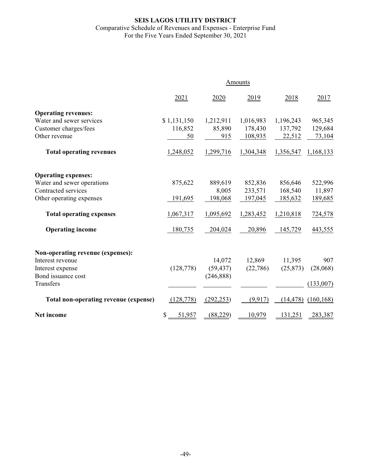#### **SEIS LAGOS UTILITY DISTRICT** Comparative Schedule of Revenues and Expenses - Enterprise Fund For the Five Years Ended September 30, 2021

|                                       |                                      |            | Amounts   |           |            |
|---------------------------------------|--------------------------------------|------------|-----------|-----------|------------|
|                                       | 2021                                 | 2020       | 2019      | 2018      | 2017       |
| <b>Operating revenues:</b>            |                                      |            |           |           |            |
| Water and sewer services              | \$1,131,150                          | 1,212,911  | 1,016,983 | 1,196,243 | 965,345    |
| Customer charges/fees                 | 116,852                              | 85,890     | 178,430   | 137,792   | 129,684    |
| Other revenue                         | 50                                   | 915        | 108,935   | 22,512    | 73,104     |
| <b>Total operating revenues</b>       | 1,248,052                            | 1,299,716  | 1,304,348 | 1,356,547 | 1,168,133  |
| <b>Operating expenses:</b>            |                                      |            |           |           |            |
| Water and sewer operations            | 875,622                              | 889,619    | 852,836   | 856,646   | 522,996    |
| Contracted services                   |                                      | 8,005      | 233,571   | 168,540   | 11,897     |
| Other operating expenses              | 191,695                              | 198,068    | 197,045   | 185,632   | 189,685    |
| <b>Total operating expenses</b>       | 1,067,317                            | 1,095,692  | 1,283,452 | 1,210,818 | 724,578    |
| <b>Operating income</b>               | 180,735                              | 204,024    | 20,896    | 145,729   | 443,555    |
| Non-operating revenue (expenses):     |                                      |            |           |           |            |
| Interest revenue                      |                                      | 14,072     | 12,869    | 11,395    | 907        |
| Interest expense                      | (128, 778)                           | (59, 437)  | (22, 786) | (25, 873) | (28,068)   |
| Bond issuance cost                    |                                      | (246, 888) |           |           |            |
| Transfers                             |                                      |            |           |           | (133,007)  |
| Total non-operating revenue (expense) | (128, 778)                           | (292, 253) | (9, 917)  | (14, 478) | (160, 168) |
| Net income                            | $\frac{\text{S}}{\text{}}$<br>51,957 | (88, 229)  | 10,979    | 131,251   | 283,387    |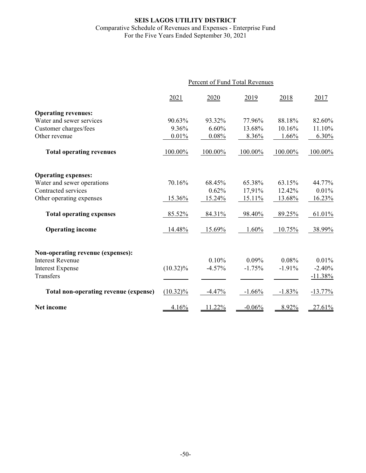#### **SEIS LAGOS UTILITY DISTRICT** Comparative Schedule of Revenues and Expenses - Enterprise Fund For the Five Years Ended September 30, 2021

|                                       | Percent of Fund Total Revenues |           |            |          |            |
|---------------------------------------|--------------------------------|-----------|------------|----------|------------|
|                                       | 2021                           | 2020      | 2019       | 2018     | 2017       |
| <b>Operating revenues:</b>            |                                |           |            |          |            |
| Water and sewer services              | 90.63%                         | 93.32%    | 77.96%     | 88.18%   | 82.60%     |
| Customer charges/fees                 | 9.36%                          | 6.60%     | 13.68%     | 10.16%   | 11.10%     |
| Other revenue                         | 0.01%                          | 0.08%     | 8.36%      | 1.66%    | $6.30\%$   |
| <b>Total operating revenues</b>       | 100.00%                        | 100.00%   | $100.00\%$ | 100.00%  | $100.00\%$ |
| <b>Operating expenses:</b>            |                                |           |            |          |            |
| Water and sewer operations            | 70.16%                         | 68.45%    | 65.38%     | 63.15%   | 44.77%     |
| Contracted services                   |                                | 0.62%     | 17,91%     | 12.42%   | 0.01%      |
| Other operating expenses              | 15.36%                         | 15.24%    | 15.11%     | 13.68%   | 16.23%     |
| <b>Total operating expenses</b>       | $85.52\%$                      | $84.31\%$ | 98.40%     | 89.25%   | 61.01%     |
| <b>Operating income</b>               | 14.48%                         | 15.69%    | 1.60%      | 10.75%   | 38.99%     |
| Non-operating revenue (expenses):     |                                |           |            |          |            |
| <b>Interest Revenue</b>               |                                | 0.10%     | $0.09\%$   | 0.08%    | 0.01%      |
| <b>Interest Expense</b>               | $(10.32)\%$                    | $-4.57\%$ | $-1.75%$   | $-1.91%$ | $-2.40%$   |
| Transfers                             |                                |           |            |          | $-11.38%$  |
| Total non-operating revenue (expense) | $(10.32)\%$                    | $-4.47%$  | $-1.66%$   | $-1.83%$ | $-13.77\%$ |
| Net income                            | 4.16%                          | 11.22%    | $-0.06%$   | 8.92%    | 27.61%     |